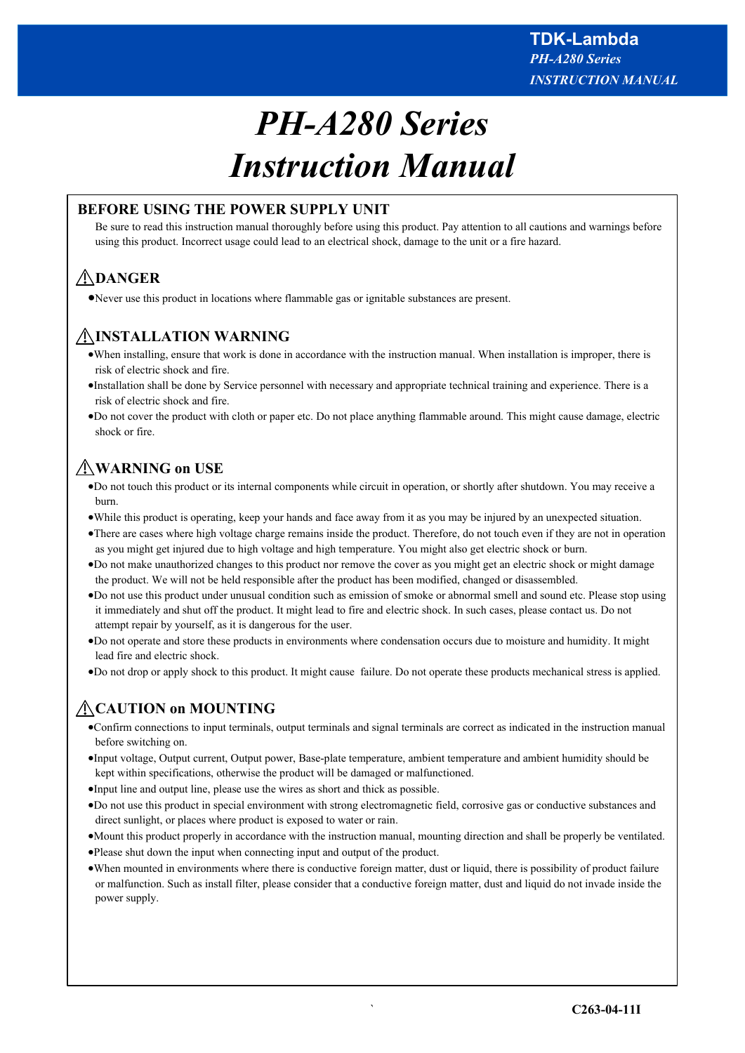# *PH-A280 Series Instruction Manual*

# **BEFORE USING THE POWER SUPPLY UNIT**

Be sure to read this instruction manual thoroughly before using this product. Pay attention to all cautions and warnings before using this product. Incorrect usage could lead to an electrical shock, damage to the unit or a fire hazard.

# **DANGER**

Never use this product in locations where flammable gas or ignitable substances are present.

# **INSTALLATION WARNING**

- When installing, ensure that work is done in accordance with the instruction manual. When installation is improper, there is risk of electric shock and fire.
- Installation shall be done by Service personnel with necessary and appropriate technical training and experience. There is a risk of electric shock and fire.
- Do not cover the product with cloth or paper etc. Do not place anything flammable around. This might cause damage, electric shock or fire.

# **WARNING on USE**

- Do not touch this product or its internal components while circuit in operation, or shortly after shutdown. You may receive a burn.
- While this product is operating, keep your hands and face away from it as you may be injured by an unexpected situation.
- There are cases where high voltage charge remains inside the product. Therefore, do not touch even if they are not in operation as you might get injured due to high voltage and high temperature. You might also get electric shock or burn.
- Do not make unauthorized changes to this product nor remove the cover as you might get an electric shock or might damage the product. We will not be held responsible after the product has been modified, changed or disassembled.
- Do not use this product under unusual condition such as emission of smoke or abnormal smell and sound etc. Please stop using it immediately and shut off the product. It might lead to fire and electric shock. In such cases, please contact us. Do not attempt repair by yourself, as it is dangerous for the user.
- Do not operate and store these products in environments where condensation occurs due to moisture and humidity. It might lead fire and electric shock.
- Do not drop or apply shock to this product. It might cause failure. Do not operate these products mechanical stress is applied.

# **CAUTION on MOUNTING**

- Confirm connections to input terminals, output terminals and signal terminals are correct as indicated in the instruction manual before switching on.
- Input voltage, Output current, Output power, Base-plate temperature, ambient temperature and ambient humidity should be kept within specifications, otherwise the product will be damaged or malfunctioned.
- Input line and output line, please use the wires as short and thick as possible.
- Do not use this product in special environment with strong electromagnetic field, corrosive gas or conductive substances and direct sunlight, or places where product is exposed to water or rain.
- Mount this product properly in accordance with the instruction manual, mounting direction and shall be properly be ventilated.
- Please shut down the input when connecting input and output of the product.
- When mounted in environments where there is conductive foreign matter, dust or liquid, there is possibility of product failure or malfunction. Such as install filter, please consider that a conductive foreign matter, dust and liquid do not invade inside the power supply.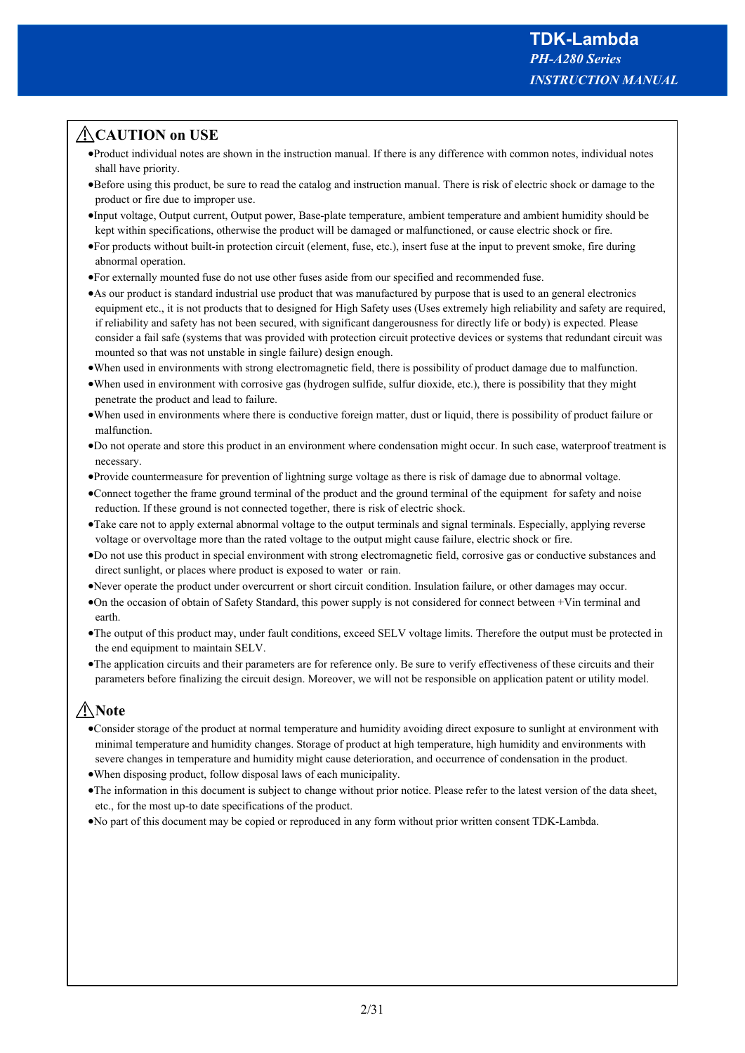# **CAUTION on USE**

- Product individual notes are shown in the instruction manual. If there is any difference with common notes, individual notes shall have priority.
- Before using this product, be sure to read the catalog and instruction manual. There is risk of electric shock or damage to the product or fire due to improper use.
- Input voltage, Output current, Output power, Base-plate temperature, ambient temperature and ambient humidity should be kept within specifications, otherwise the product will be damaged or malfunctioned, or cause electric shock or fire.
- For products without built-in protection circuit (element, fuse, etc.), insert fuse at the input to prevent smoke, fire during abnormal operation.
- For externally mounted fuse do not use other fuses aside from our specified and recommended fuse.
- As our product is standard industrial use product that was manufactured by purpose that is used to an general electronics equipment etc., it is not products that to designed for High Safety uses (Uses extremely high reliability and safety are required, if reliability and safety has not been secured, with significant dangerousness for directly life or body) is expected. Please consider a fail safe (systems that was provided with protection circuit protective devices or systems that redundant circuit was mounted so that was not unstable in single failure) design enough.
- When used in environments with strong electromagnetic field, there is possibility of product damage due to malfunction.
- When used in environment with corrosive gas (hydrogen sulfide, sulfur dioxide, etc.), there is possibility that they might penetrate the product and lead to failure.
- When used in environments where there is conductive foreign matter, dust or liquid, there is possibility of product failure or malfunction.
- Do not operate and store this product in an environment where condensation might occur. In such case, waterproof treatment is necessary.
- Provide countermeasure for prevention of lightning surge voltage as there is risk of damage due to abnormal voltage.
- Connect together the frame ground terminal of the product and the ground terminal of the equipment for safety and noise reduction. If these ground is not connected together, there is risk of electric shock.
- Take care not to apply external abnormal voltage to the output terminals and signal terminals. Especially, applying reverse voltage or overvoltage more than the rated voltage to the output might cause failure, electric shock or fire.
- Do not use this product in special environment with strong electromagnetic field, corrosive gas or conductive substances and direct sunlight, or places where product is exposed to water or rain.
- Never operate the product under overcurrent or short circuit condition. Insulation failure, or other damages may occur.
- On the occasion of obtain of Safety Standard, this power supply is not considered for connect between +Vin terminal and earth.
- The output of this product may, under fault conditions, exceed SELV voltage limits. Therefore the output must be protected in the end equipment to maintain SELV.
- The application circuits and their parameters are for reference only. Be sure to verify effectiveness of these circuits and their parameters before finalizing the circuit design. Moreover, we will not be responsible on application patent or utility model.

# **Note**

- Consider storage of the product at normal temperature and humidity avoiding direct exposure to sunlight at environment with minimal temperature and humidity changes. Storage of product at high temperature, high humidity and environments with severe changes in temperature and humidity might cause deterioration, and occurrence of condensation in the product.
- When disposing product, follow disposal laws of each municipality.
- The information in this document is subject to change without prior notice. Please refer to the latest version of the data sheet, etc., for the most up-to date specifications of the product.
- No part of this document may be copied or reproduced in any form without prior written consent TDK-Lambda.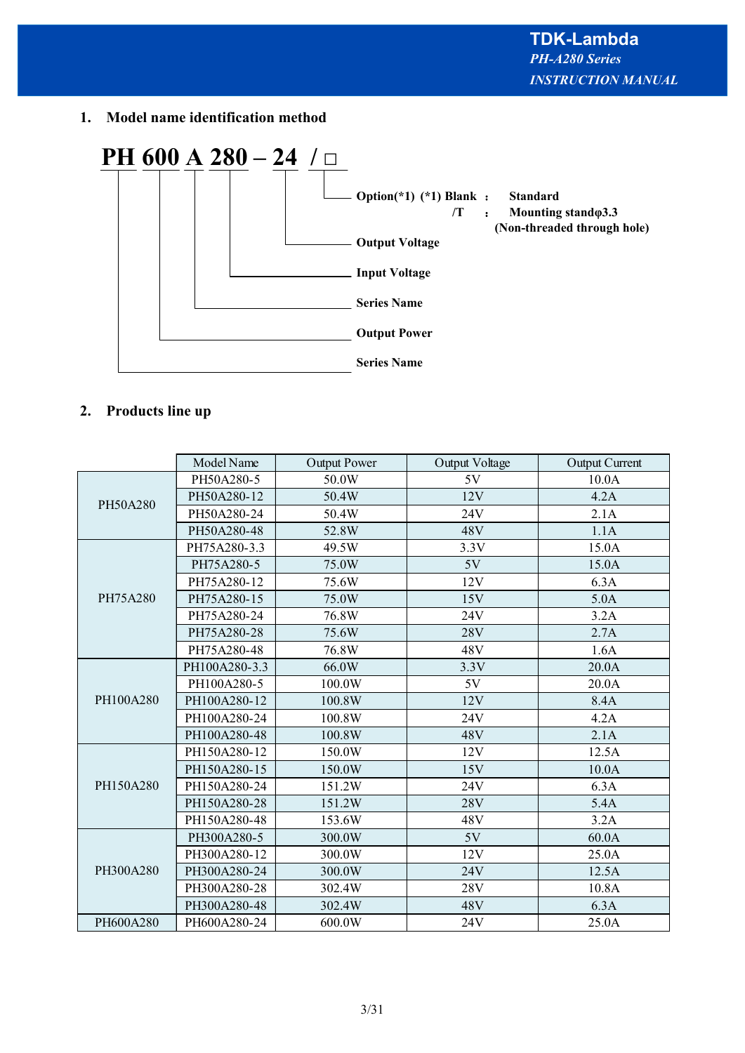**1. Model name identification method**



# **2. Products line up**

|           | Model Name    | <b>Output Power</b> | Output Voltage | Output Current |
|-----------|---------------|---------------------|----------------|----------------|
|           | PH50A280-5    | 50.0W               | 5V             | 10.0A          |
| PH50A280  | PH50A280-12   | 50.4W               | 12V            | 4.2A           |
|           | PH50A280-24   | 50.4W               | 24V            | 2.1A           |
|           | PH50A280-48   | 52.8W               | 48V            | 1.1A           |
|           | PH75A280-3.3  | 49.5W               | 3.3V           | 15.0A          |
|           | PH75A280-5    | 75.0W               | 5V             | 15.0A          |
|           | PH75A280-12   | 75.6W               | 12V            | 6.3A           |
| PH75A280  | PH75A280-15   | 75.0W               | 15V            | 5.0A           |
|           | PH75A280-24   | 76.8W               | 24V            | 3.2A           |
|           | PH75A280-28   | 75.6W               | 28V            | 2.7A           |
|           | PH75A280-48   | 76.8W               | 48V            | 1.6A           |
|           | PH100A280-3.3 | 66.0W               | 3.3V           | 20.0A          |
|           | PH100A280-5   | 100.0W              | 5V             | 20.0A          |
| PH100A280 | PH100A280-12  | 100.8W              | 12V            | 8.4A           |
|           | PH100A280-24  | 100.8W              | 24V            | 4.2A           |
|           | PH100A280-48  | 100.8W              | 48V            | 2.1A           |
|           | PH150A280-12  | 150.0W              | 12V            | 12.5A          |
|           | PH150A280-15  | 150.0W              | 15V            | 10.0A          |
| PH150A280 | PH150A280-24  | 151.2W              | 24V            | 6.3A           |
|           | PH150A280-28  | 151.2W              | 28V            | 5.4A           |
|           | PH150A280-48  | 153.6W              | 48V            | 3.2A           |
|           | PH300A280-5   | 300.0W              | 5V             | 60.0A          |
|           | PH300A280-12  | 300.0W              | 12V            | 25.0A          |
| PH300A280 | PH300A280-24  | 300.0W              | 24V            | 12.5A          |
|           | PH300A280-28  | 302.4W              | 28V            | 10.8A          |
|           | PH300A280-48  | 302.4W              | 48V            | 6.3A           |
| PH600A280 | PH600A280-24  | 600.0W              | 24V            | 25.0A          |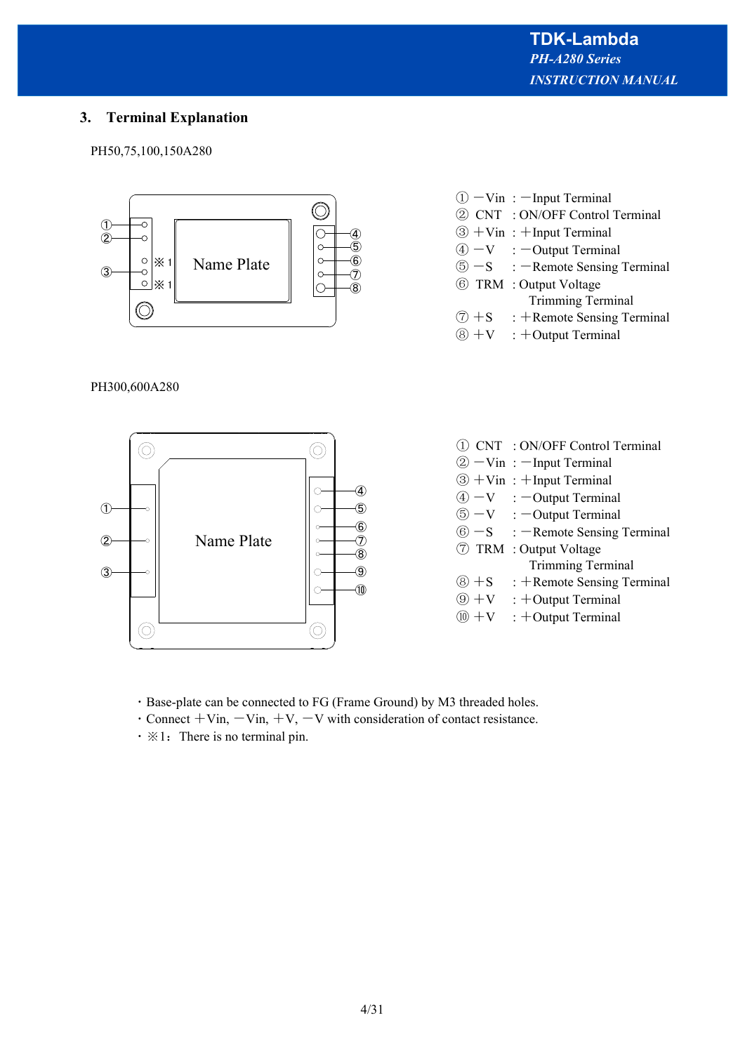# **3. Terminal Explanation**

PH50,75,100,150A280



# PH300,600A280



- $\textcircled{1}$  -Vin : -Input Terminal ② CNT : ON/OFF Control Terminal  $\circled{3}$  + Vin: + Input Terminal
- $\textcircled{4}$  -V : -Output Terminal
- $\textcircled{s}$  -S : -Remote Sensing Terminal
- ⑥ TRM : Output Voltage
- Trimming Terminal
- $\circled{7} + S$  : +Remote Sensing Terminal
- $\circledR$  +V : +Output Terminal
- ① CNT : ON/OFF Control Terminal  $(2) -$ Vin :  $-$ Input Terminal
- $\circled{3}$  + Vin : + Input Terminal
- $\overline{A}$  -V : -Output Terminal
- $\textcircled{5}$  -V : -Output Terminal
- $\circled{6}$  -S : -Remote Sensing Terminal
- ⑦ TRM : Output Voltage
	- Trimming Terminal
- $\circledR$  +S : +Remote Sensing Terminal
- $\circledR$  +V : +Output Terminal
- $\overline{w} + v$  : +Output Terminal
- ・Base-plate can be connected to FG (Frame Ground) by M3 threaded holes.
- $\cdot$  Connect  $+V$ in,  $-V$ in,  $+V$ ,  $-V$  with consideration of contact resistance.
- $\cdot \cdot \cdot$  1: There is no terminal pin.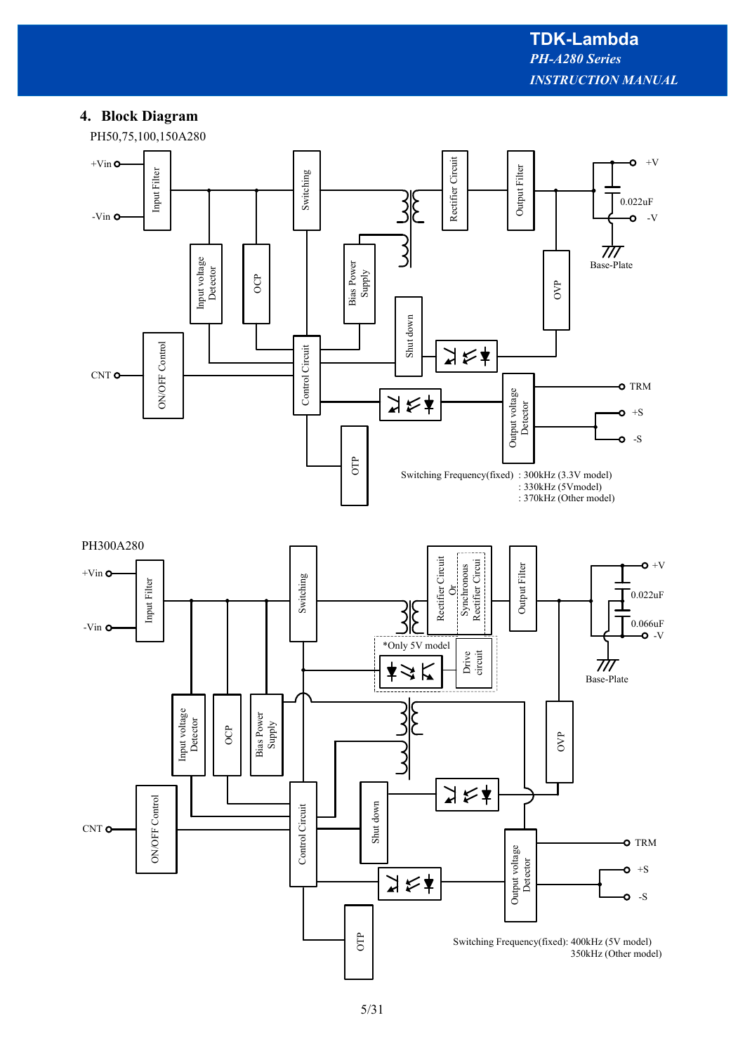# **4. Block Diagram**

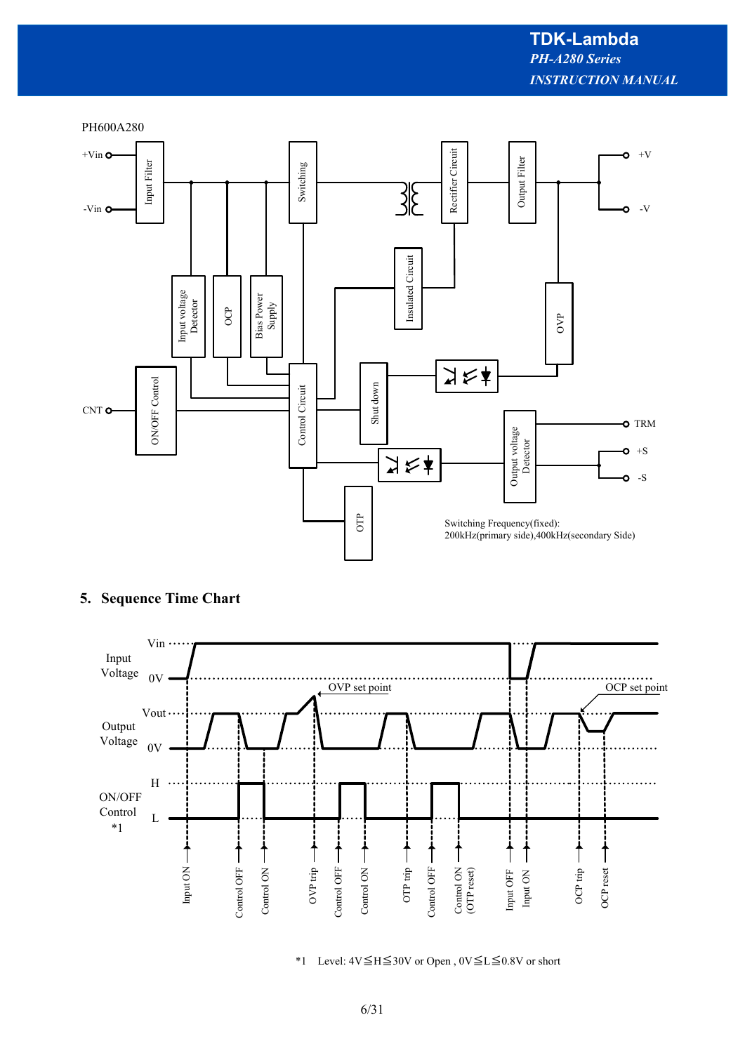

# **5. Sequence Time Chart**



\*1 Level: 4V≦H≦30V or Open , 0V≦L≦0.8V or short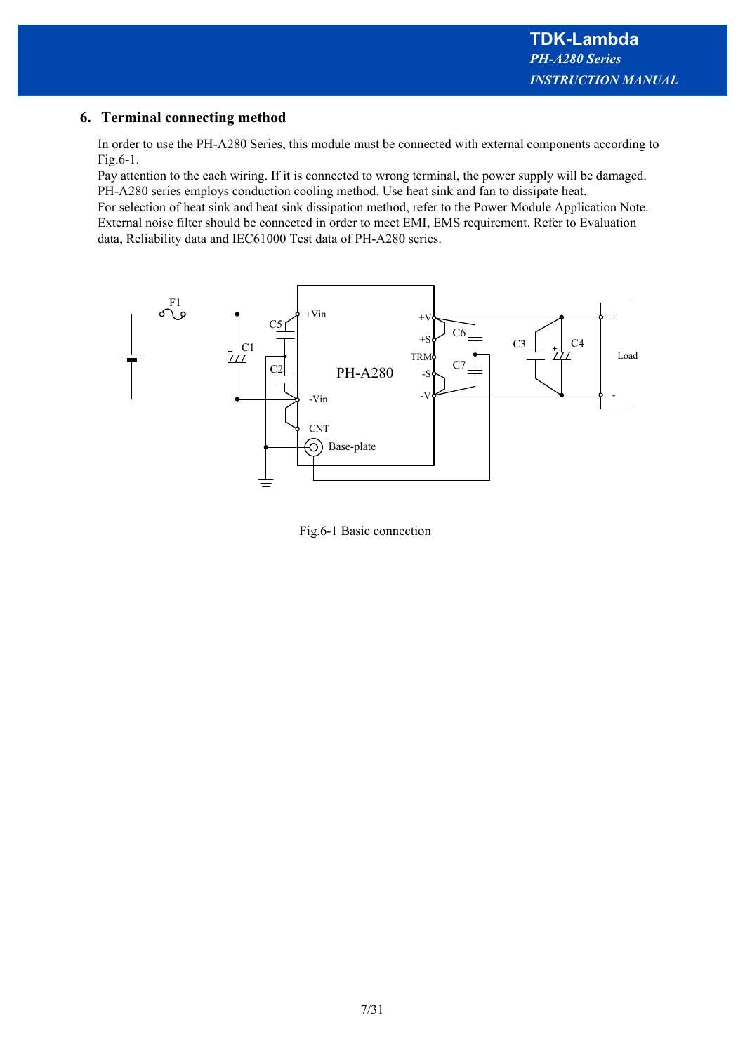# **6. Terminal connecting method**

In order to use the PH-A280 Series, this module must be connected with external components according to Fig.6-1.

Pay attention to the each wiring. If it is connected to wrong terminal, the power supply will be damaged. PH-A280 series employs conduction cooling method. Use heat sink and fan to dissipate heat.

For selection of heat sink and heat sink dissipation method, refer to the Power Module Application Note. External noise filter should be connected in order to meet EMI, EMS requirement. Refer to Evaluation data, Reliability data and IEC61000 Test data of PH-A280 series.



Fig.6-1 Basic connection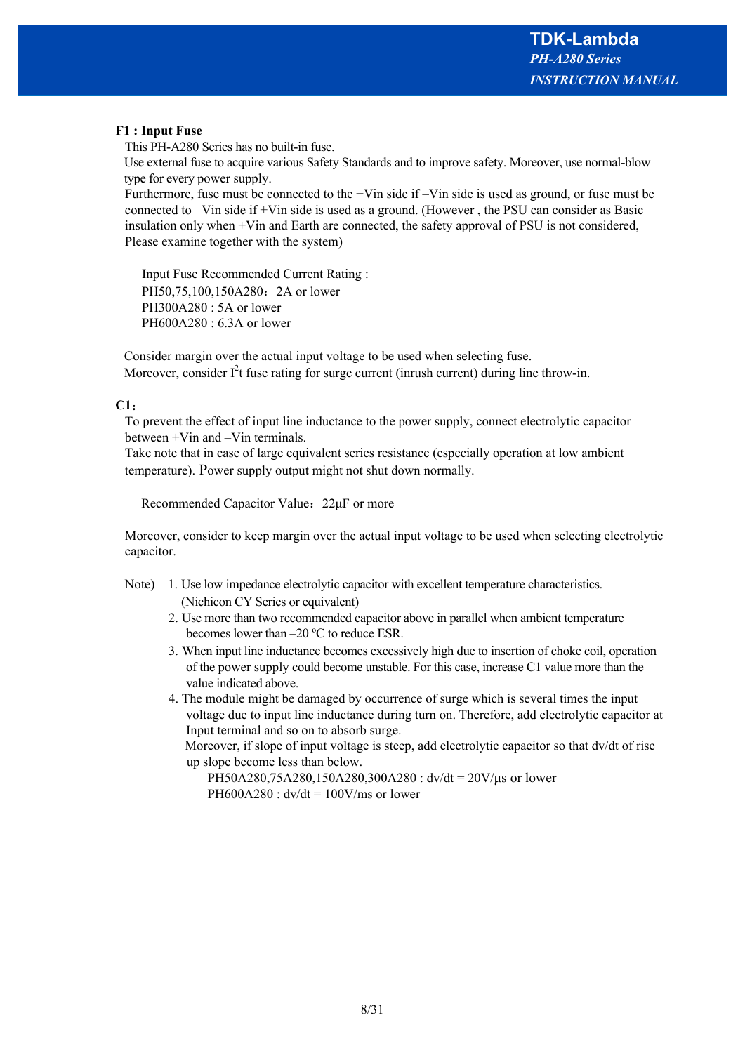# **F1 : Input Fuse**

This PH-A280 Series has no built-in fuse.

Use external fuse to acquire various Safety Standards and to improve safety. Moreover, use normal-blow type for every power supply.

Furthermore, fuse must be connected to the +Vin side if –Vin side is used as ground, or fuse must be connected to –Vin side if +Vin side is used as a ground. (However , the PSU can consider as Basic insulation only when +Vin and Earth are connected, the safety approval of PSU is not considered, Please examine together with the system)

 Input Fuse Recommended Current Rating : PH50,75,100,150A280: 2A or lower PH300A280 : 5A or lower PH600A280 : 6.3A or lower

Consider margin over the actual input voltage to be used when selecting fuse. Moreover, consider  $I^2t$  fuse rating for surge current (inrush current) during line throw-in.

# **C1**:

To prevent the effect of input line inductance to the power supply, connect electrolytic capacitor between +Vin and –Vin terminals.

Take note that in case of large equivalent series resistance (especially operation at low ambient temperature). Power supply output might not shut down normally.

Recommended Capacitor Value:22μF or more

Moreover, consider to keep margin over the actual input voltage to be used when selecting electrolytic capacitor.

- Note) 1. Use low impedance electrolytic capacitor with excellent temperature characteristics. (Nichicon CY Series or equivalent)
	- 2. Use more than two recommended capacitor above in parallel when ambient temperature becomes lower than –20 ºC to reduce ESR.
	- 3. When input line inductance becomes excessively high due to insertion of choke coil, operation of the power supply could become unstable. For this case, increase C1 value more than the value indicated above.

4. The module might be damaged by occurrence of surge which is several times the input voltage due to input line inductance during turn on. Therefore, add electrolytic capacitor at Input terminal and so on to absorb surge. Moreover, if slope of input voltage is steep, add electrolytic capacitor so that dv/dt of rise

up slope become less than below. PH50A280,75A280,150A280,300A280 : dv/dt = 20V/μs or lower PH600A280 :  $dv/dt = 100$ V/ms or lower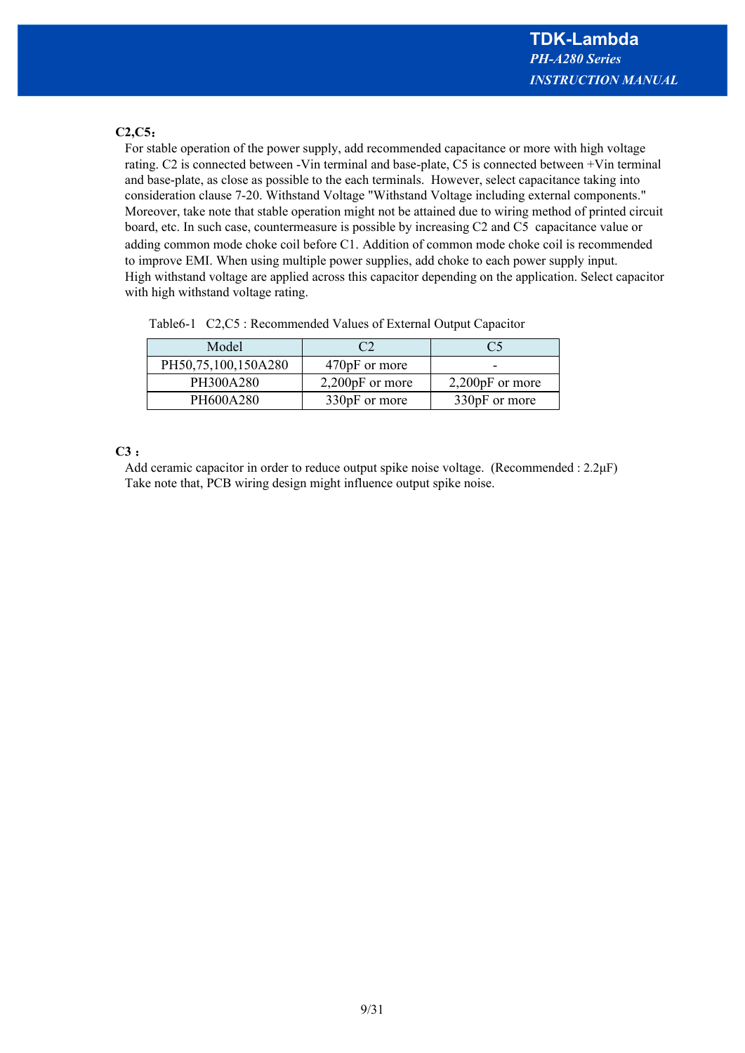# **C2,C5**:

For stable operation of the power supply, add recommended capacitance or more with high voltage rating. C2 is connected between -Vin terminal and base-plate, C5 is connected between +Vin terminal and base-plate, as close as possible to the each terminals. However, select capacitance taking into consideration clause 7-20. Withstand Voltage "Withstand Voltage including external components." Moreover, take note that stable operation might not be attained due to wiring method of printed circuit board, etc. In such case, countermeasure is possible by increasing C2 and C5 capacitance value or adding common mode choke coil before C1. Addition of common mode choke coil is recommended to improve EMI. When using multiple power supplies, add choke to each power supply input. High withstand voltage are applied across this capacitor depending on the application. Select capacitor with high withstand voltage rating.

| Model               |                   | C5                |
|---------------------|-------------------|-------------------|
| PH50,75,100,150A280 | 470pF or more     |                   |
| PH300A280           | $2,200pF$ or more | $2,200pF$ or more |
| PH600A280           | 330pF or more     | 330pF or more     |

Table6-1 C2,C5 : Recommended Values of External Output Capacitor

# **C3** :

Add ceramic capacitor in order to reduce output spike noise voltage. (Recommended : 2.2μF) Take note that, PCB wiring design might influence output spike noise.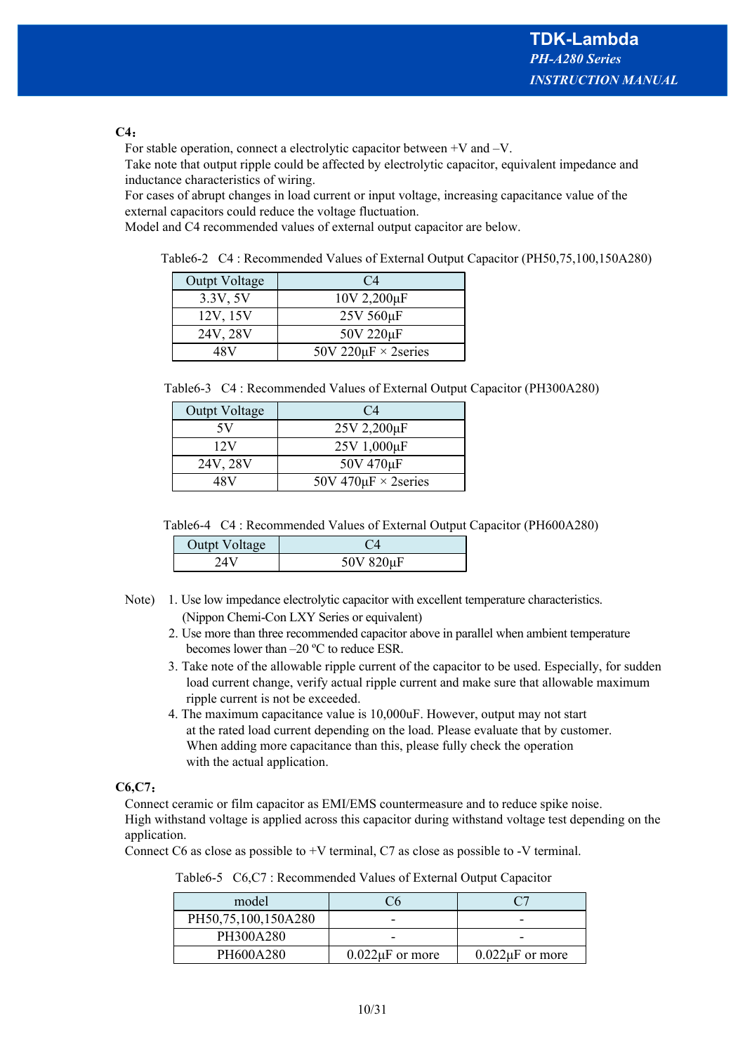# **C4**:

For stable operation, connect a electrolytic capacitor between +V and –V.

Take note that output ripple could be affected by electrolytic capacitor, equivalent impedance and inductance characteristics of wiring.

For cases of abrupt changes in load current or input voltage, increasing capacitance value of the external capacitors could reduce the voltage fluctuation.

Model and C4 recommended values of external output capacitor are below.

Table6-2 C4 : Recommended Values of External Output Capacitor (PH50,75,100,150A280)

| Outpt Voltage | C <sub>4</sub>            |
|---------------|---------------------------|
| 3.3V, 5V      | 10V 2,200µF               |
| 12V, 15V      | $25V 560 \mu F$           |
| 24V, 28V      | 50V 220µF                 |
| 48 V          | 50V 220 $\mu$ F × 2series |

|  |  | Table6-3 C4: Recommended Values of External Output Capacitor (PH300A280) |  |  |  |  |  |  |
|--|--|--------------------------------------------------------------------------|--|--|--|--|--|--|
|--|--|--------------------------------------------------------------------------|--|--|--|--|--|--|

| Outpt Voltage | $C_{4}$                   |
|---------------|---------------------------|
| 5V            | $25V$ 2,200 $\mu$ F       |
| 12V           | 25V 1,000µF               |
| 24V, 28V      | 50V 470µF                 |
| 48 V          | 50V 470 $\mu$ F × 2series |

Table6-4 C4 : Recommended Values of External Output Capacitor (PH600A280)

| Outpt Voltage |           |
|---------------|-----------|
|               | 50V 820µF |

- Note) 1. Use low impedance electrolytic capacitor with excellent temperature characteristics. (Nippon Chemi-Con LXY Series or equivalent)
	- 2. Use more than three recommended capacitor above in parallel when ambient temperature becomes lower than –20 ºC to reduce ESR.
	- 3. Take note of the allowable ripple current of the capacitor to be used. Especially, for sudden load current change, verify actual ripple current and make sure that allowable maximum ripple current is not be exceeded.
	- 4. The maximum capacitance value is 10,000uF. However, output may not start at the rated load current depending on the load. Please evaluate that by customer. When adding more capacitance than this, please fully check the operation with the actual application.

# **C6,C7**:

Connect ceramic or film capacitor as EMI/EMS countermeasure and to reduce spike noise. High withstand voltage is applied across this capacitor during withstand voltage test depending on the application.

Connect C6 as close as possible to +V terminal, C7 as close as possible to -V terminal.

| model               |                      |                      |
|---------------------|----------------------|----------------------|
| PH50,75,100,150A280 |                      |                      |
| PH300A280           |                      |                      |
| PH600A280           | $0.022\mu F$ or more | $0.022\mu F$ or more |

Table6-5 C6,C7 : Recommended Values of External Output Capacitor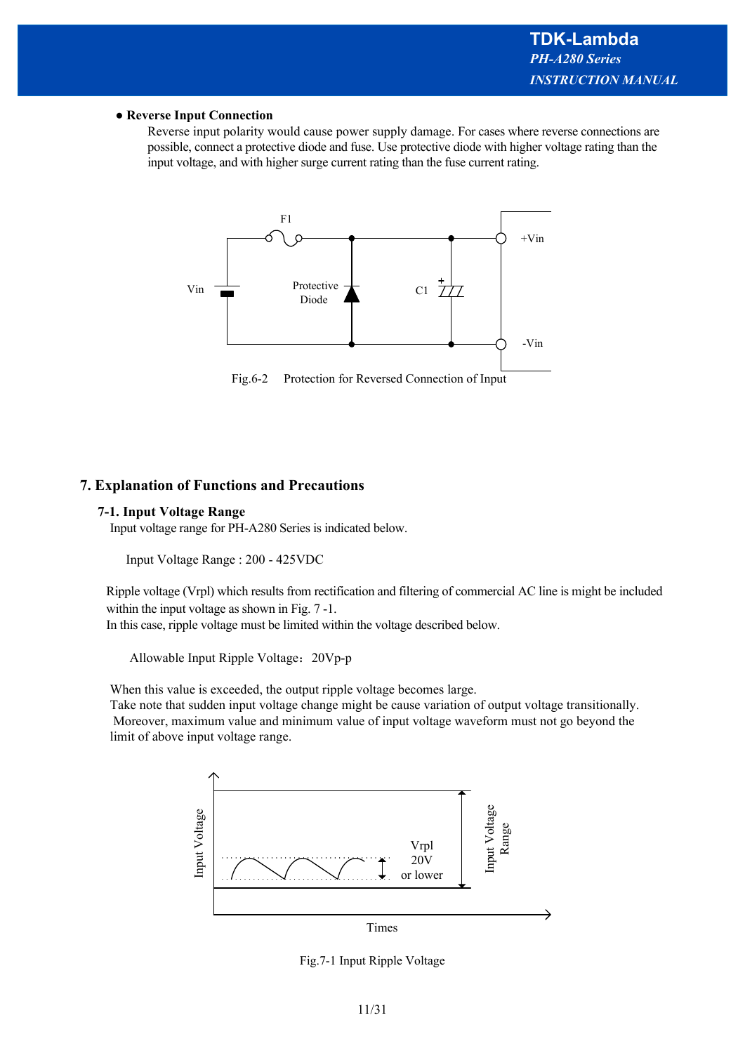#### ● **Reverse Input Connection**

Reverse input polarity would cause power supply damage. For cases where reverse connections are possible, connect a protective diode and fuse. Use protective diode with higher voltage rating than the input voltage, and with higher surge current rating than the fuse current rating.



Fig.6-2 Protection for Reversed Connection of Input

# **7. Explanation of Functions and Precautions**

#### **7-1. Input Voltage Range**

Input voltage range for PH-A280 Series is indicated below.

Input Voltage Range : 200 - 425VDC

Ripple voltage (Vrpl) which results from rectification and filtering of commercial AC line is might be included within the input voltage as shown in Fig.  $7 - 1$ .

In this case, ripple voltage must be limited within the voltage described below.

Allowable Input Ripple Voltage:20Vp-p

When this value is exceeded, the output ripple voltage becomes large.

Take note that sudden input voltage change might be cause variation of output voltage transitionally. Moreover, maximum value and minimum value of input voltage waveform must not go beyond the limit of above input voltage range.



Fig.7-1 Input Ripple Voltage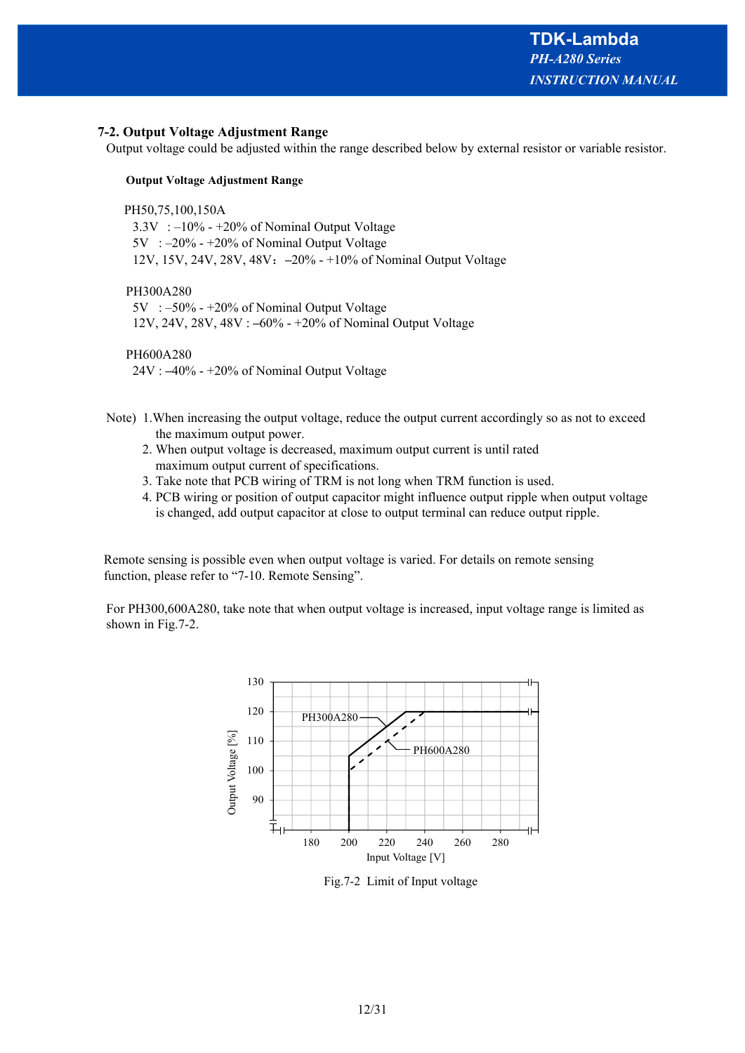#### **7-2. Output Voltage Adjustment Range**

Output voltage could be adjusted within the range described below by external resistor or variable resistor.

#### **Output Voltage Adjustment Range**

PH50,75,100,150A

 $3.3V$  :  $-10\%$  -  $+20\%$  of Nominal Output Voltage 5V : –20% - +20% of Nominal Output Voltage 12V, 15V, 24V, 28V, 48V:**–**20% - +10% of Nominal Output Voltage

PH300A280

 5V : –50% - +20% of Nominal Output Voltage 12V, 24V, 28V, 48V : **–**60% - +20% of Nominal Output Voltage

PH600A280

24V : **–**40% - +20% of Nominal Output Voltage

- Note) 1.When increasing the output voltage, reduce the output current accordingly so as not to exceed the maximum output power.
	- 2. When output voltage is decreased, maximum output current is until rated maximum output current of specifications.
	- 3. Take note that PCB wiring of TRM is not long when TRM function is used.
	- 4. PCB wiring or position of output capacitor might influence output ripple when output voltage is changed, add output capacitor at close to output terminal can reduce output ripple.

Remote sensing is possible even when output voltage is varied. For details on remote sensing function, please refer to "7-10. Remote Sensing".

For PH300,600A280, take note that when output voltage is increased, input voltage range is limited as shown in Fig.7-2.



Fig.7-2 Limit of Input voltage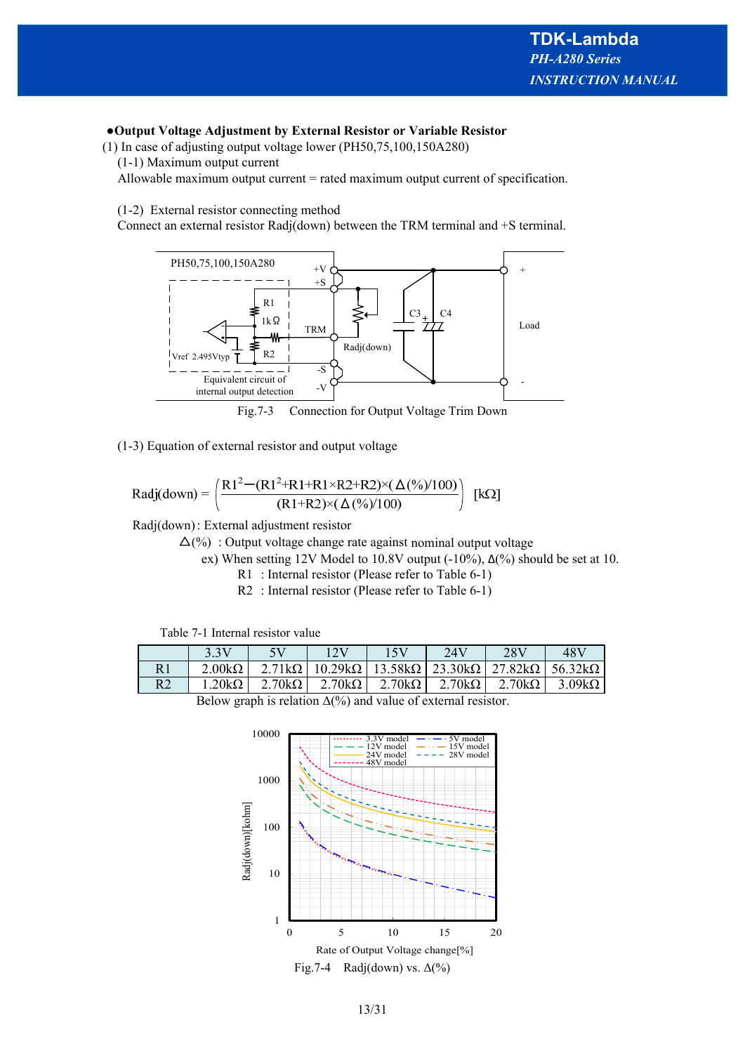# **●Output Voltage Adjustment by External Resistor or Variable Resistor**

(1) In case of adjusting output voltage lower (PH50,75,100,150A280)

(1-1) Maximum output current

Allowable maximum output current = rated maximum output current of specification.

(1-2) External resistor connecting method

Connect an external resistor Radj(down) between the TRM terminal and +S terminal.



(1-3) Equation of external resistor and output voltage

Radj(down) = 
$$
\left( \frac{R1^2 - (R1^2 + R1 + R1 \times R2 + R2) \times (\Delta(\%)/100)}{(R1 + R2) \times (\Delta(\%)/100)} \right)
$$
 [kΩ]

Radj(down) : External adjustment resistor

 $\Delta(\%)$ : Output voltage change rate against nominal output voltage

ex) When setting 12V Model to 10.8V output  $(-10\%)$ ,  $\Delta$ (%) should be set at 10.

- R1 : Internal resistor (Please refer to Table 6-1)
- R2 : Internal resistor (Please refer to Table 6-1)

| Table 7-1 Internal resistor value |  |  |  |
|-----------------------------------|--|--|--|
|-----------------------------------|--|--|--|

|                | 3.3V                                                                         | 5V | 12V                                                                                                                                                | 15V | 24V | 28V | 48V |  |  |
|----------------|------------------------------------------------------------------------------|----|----------------------------------------------------------------------------------------------------------------------------------------------------|-----|-----|-----|-----|--|--|
|                | $2.00k\Omega$                                                                |    | 2.71kΩ   10.29kΩ   13.58kΩ   23.30kΩ   27.82kΩ   56.32kΩ                                                                                           |     |     |     |     |  |  |
| R <sub>2</sub> |                                                                              |    | $1.20\text{k}\Omega$ $2.70\text{k}\Omega$ $2.70\text{k}\Omega$ $2.70\text{k}\Omega$ $2.70\text{k}\Omega$ $2.70\text{k}\Omega$ $3.09\text{k}\Omega$ |     |     |     |     |  |  |
|                | $D_{\text{clayy}}$ graph is relation $A(0/2)$ and value of external resistor |    |                                                                                                                                                    |     |     |     |     |  |  |

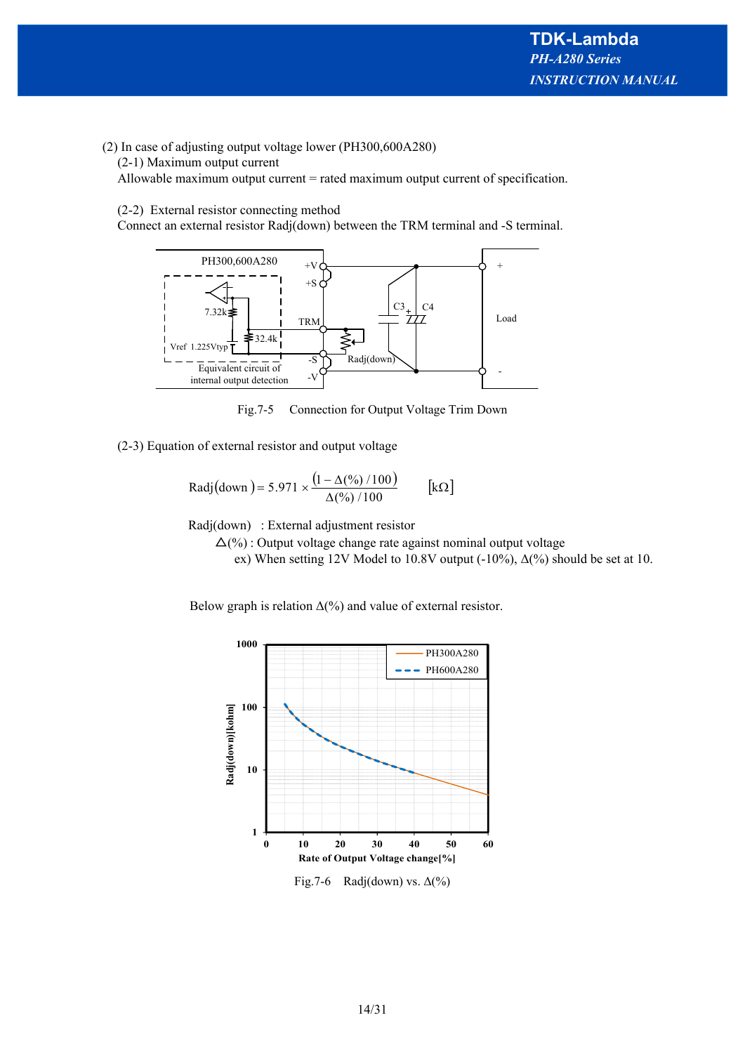- (2) In case of adjusting output voltage lower (PH300,600A280)
	- (2-1) Maximum output current

Allowable maximum output current = rated maximum output current of specification.

#### (2-2) External resistor connecting method

Connect an external resistor Radj(down) between the TRM terminal and -S terminal.



Fig.7-5 Connection for Output Voltage Trim Down

(2-3) Equation of external resistor and output voltage

Radj(down) = 5.971 × 
$$
\frac{(1 - Δ(%) / 100)}{Δ(%) / 100}
$$
 [kΩ]

Radj(down) : External adjustment resistor

 $\Delta(\%)$ : Output voltage change rate against nominal output voltage

ex) When setting 12V Model to 10.8V output  $(-10\%)$ ,  $\Delta$ (%) should be set at 10.

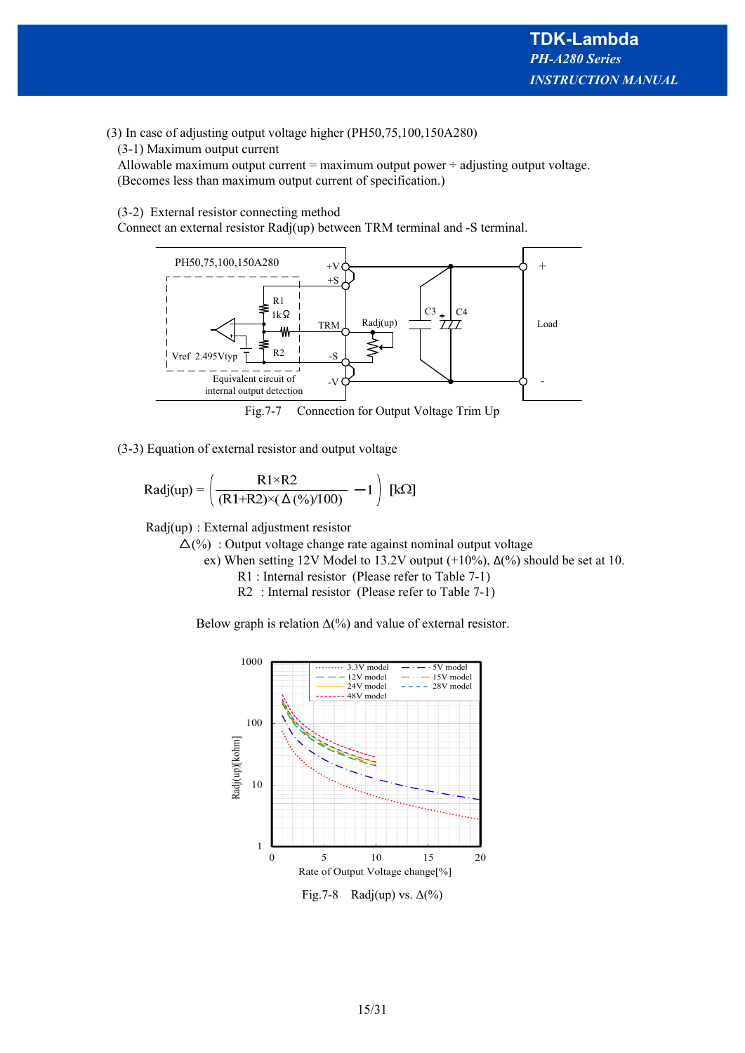# (3) In case of adjusting output voltage higher (PH50,75,100,150A280)

(3-1) Maximum output current

Allowable maximum output current = maximum output power  $\div$  adjusting output voltage. (Becomes less than maximum output current of specification.)

# (3-2) External resistor connecting method

Connect an external resistor Radj(up) between TRM terminal and -S terminal.



(3-3) Equation of external resistor and output voltage

$$
Radj(up)=\left(\frac{R1\times R2}{(R1+R2)\times(\Delta(\%)/100)}-1\right)\;[k\Omega]
$$

Radj(up) : External adjustment resistor

 $\Delta(\%)$ : Output voltage change rate against nominal output voltage

ex) When setting 12V Model to 13.2V output  $(+10\%)$ ,  $\Delta$ (%) should be set at 10.

R1 : Internal resistor (Please refer to Table 7-1)

R2 : Internal resistor (Please refer to Table 7-1)

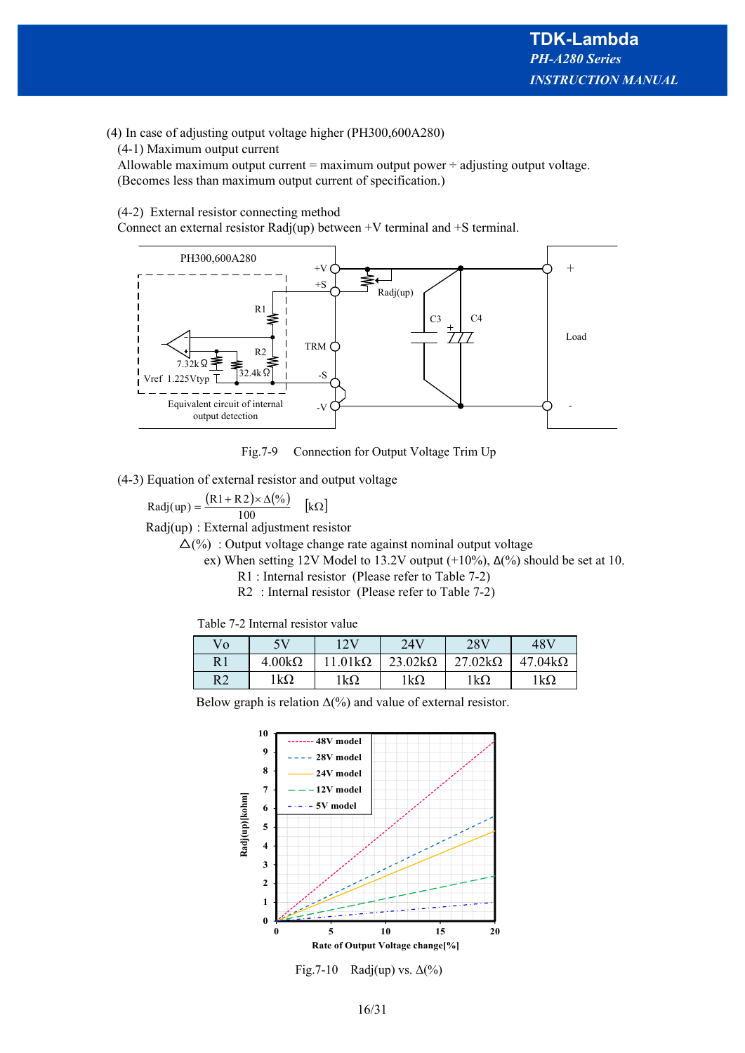# (4) In case of adjusting output voltage higher (PH300,600A280)

(4-1) Maximum output current

Allowable maximum output current = maximum output power  $\div$  adjusting output voltage. (Becomes less than maximum output current of specification.)

#### (4-2) External resistor connecting method

Connect an external resistor Radj(up) between  $+V$  terminal and  $+S$  terminal.



Fig.7-9 Connection for Output Voltage Trim Up

(4-3) Equation of external resistor and output voltage

 $\text{Radj}(\text{up}) = \frac{(\text{R1} + \text{R2}) \times \Delta(\%)}{\text{R2}}$  [kΩ]  $\frac{1}{100}$ 

Radj(up) : External adjustment resistor

 $\Delta(\%)$ : Output voltage change rate against nominal output voltage

- ex) When setting 12V Model to 13.2V output  $(+10\%)$ ,  $\Delta(\%)$  should be set at 10.
	- R1 : Internal resistor (Please refer to Table 7-2)
	- R2 : Internal resistor (Please refer to Table 7-2)

| Table 7-2 Internal resistor value |  |  |
|-----------------------------------|--|--|
|-----------------------------------|--|--|

| Vo             | 5V            | 1 7 V       | 24V            | 28V            | 48V            |
|----------------|---------------|-------------|----------------|----------------|----------------|
| R1             | $4.00k\Omega$ | $01k\Omega$ | $23.02k\Omega$ | $27.02k\Omega$ | $47.04k\Omega$ |
| R <sub>2</sub> | $1k\Omega$    | $1k\Omega$  | $1k\Omega$     | $1k\Omega$     | lkΩ            |

![](_page_15_Figure_18.jpeg)

Fig.7-10 Radj(up) vs.  $\Delta(\%)$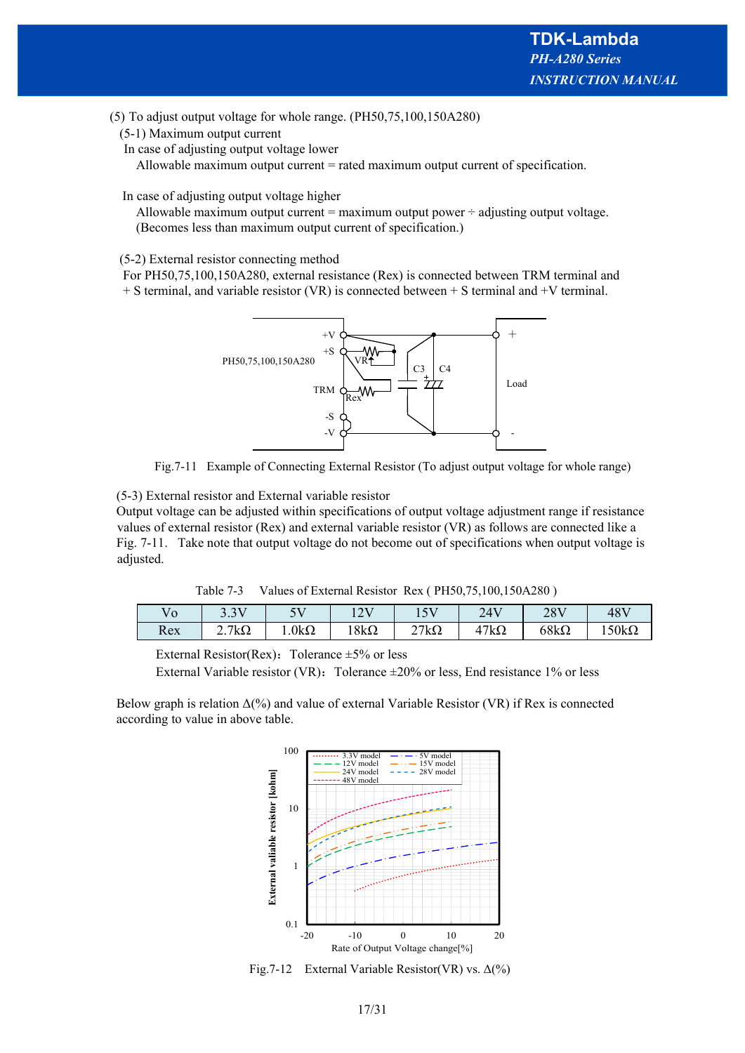(5) To adjust output voltage for whole range. (PH50,75,100,150A280)

(5-1) Maximum output current

In case of adjusting output voltage lower

Allowable maximum output current = rated maximum output current of specification.

In case of adjusting output voltage higher

Allowable maximum output current = maximum output power  $\div$  adjusting output voltage. (Becomes less than maximum output current of specification.)

#### (5-2) External resistor connecting method

 For PH50,75,100,150A280, external resistance (Rex) is connected between TRM terminal and  $+ S$  terminal, and variable resistor (VR) is connected between  $+ S$  terminal and  $+ V$  terminal.

![](_page_16_Figure_9.jpeg)

Fig.7-11 Example of Connecting External Resistor (To adjust output voltage for whole range)

(5-3) External resistor and External variable resistor

 Output voltage can be adjusted within specifications of output voltage adjustment range if resistance values of external resistor (Rex) and external variable resistor (VR) as follows are connected like a Fig. 7-11. Take note that output voltage do not become out of specifications when output voltage is adjusted.

Table 7-3 Values of External Resistor Rex ( PH50,75,100,150A280 )

|     | $\mathbf{X}$<br>J.J        | $-11$        | $1 \wedge T$<br>$\overline{1}$ | $-1$<br>⊥ັ       | 24V<br>∠⊤   | 28V         | 48V          |
|-----|----------------------------|--------------|--------------------------------|------------------|-------------|-------------|--------------|
| Rex | $7\mathrm{k}\Omega$<br>، ، | $1.0k\Omega$ | $18k\Omega$                    | $27k\Omega$<br>∼ | $17k\Omega$ | $68k\Omega$ | $150k\Omega$ |

External Resistor(Rex): Tolerance  $\pm 5\%$  or less

External Variable resistor (VR): Tolerance  $\pm 20\%$  or less, End resistance 1% or less

Below graph is relation  $\Delta$ (%) and value of external Variable Resistor (VR) if Rex is connected according to value in above table.

![](_page_16_Figure_18.jpeg)

Fig.7-12 External Variable Resistor(VR) vs.  $\Delta(\%)$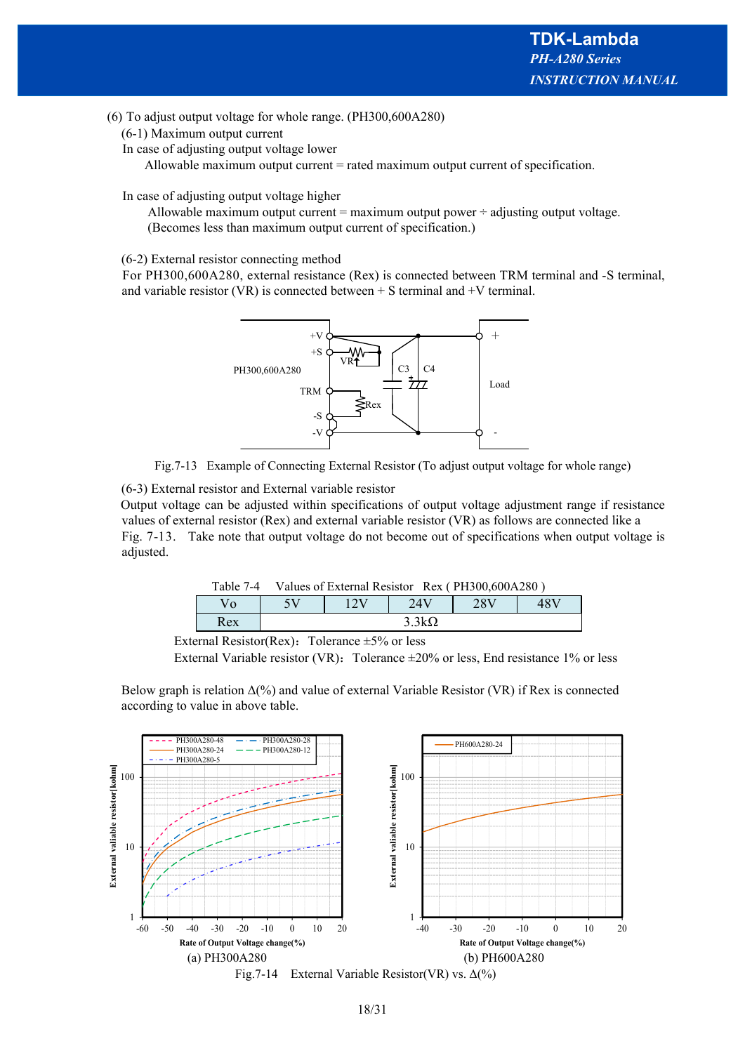(6) To adjust output voltage for whole range. (PH300,600A280)

- (6-1) Maximum output current
- In case of adjusting output voltage lower

Allowable maximum output current = rated maximum output current of specification.

In case of adjusting output voltage higher

Allowable maximum output current = maximum output power  $\div$  adjusting output voltage. (Becomes less than maximum output current of specification.)

#### (6-2) External resistor connecting method

For PH300,600A280, external resistance (Rex) is connected between TRM terminal and -S terminal, and variable resistor (VR) is connected between  $+$  S terminal and  $+$ V terminal.

![](_page_17_Figure_9.jpeg)

Fig.7-13 Example of Connecting External Resistor (To adjust output voltage for whole range)

(6-3) External resistor and External variable resistor

 Output voltage can be adjusted within specifications of output voltage adjustment range if resistance values of external resistor (Rex) and external variable resistor (VR) as follows are connected like a Fig. 7-13. Take note that output voltage do not become out of specifications when output voltage is adjusted.

|     | Table 7-4 Values of External Resistor Rex (PH300,600A280) |  |              |     |     |
|-----|-----------------------------------------------------------|--|--------------|-----|-----|
|     |                                                           |  | 24V          | 28V | 48V |
| Rex |                                                           |  | $3.3k\Omega$ |     |     |

External Resistor(Rex): Tolerance  $\pm 5\%$  or less

External Variable resistor (VR): Tolerance  $\pm 20\%$  or less, End resistance 1% or less

Below graph is relation  $\Delta(\%)$  and value of external Variable Resistor (VR) if Rex is connected according to value in above table.

![](_page_17_Figure_17.jpeg)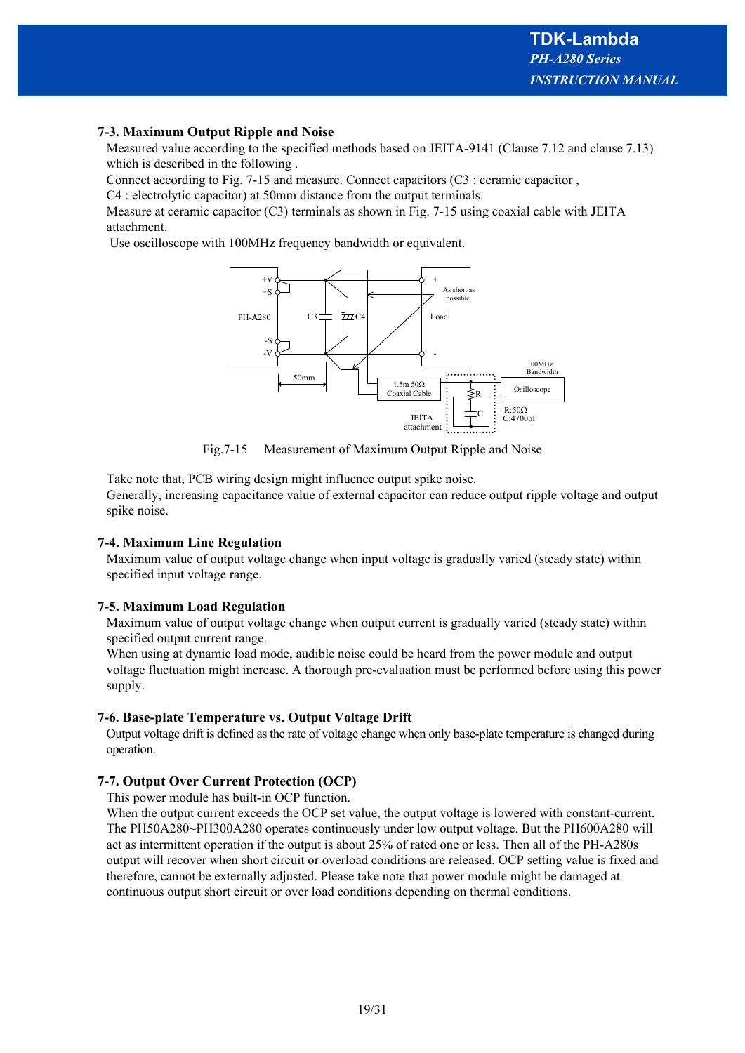# **7-3. Maximum Output Ripple and Noise**

Measured value according to the specified methods based on JEITA-9141 (Clause 7.12 and clause 7.13) which is described in the following .

Connect according to Fig. 7-15 and measure. Connect capacitors (C3 : ceramic capacitor ,

C4 : electrolytic capacitor) at 50mm distance from the output terminals.

Measure at ceramic capacitor (C3) terminals as shown in Fig. 7-15 using coaxial cable with JEITA attachment.

Use oscilloscope with 100MHz frequency bandwidth or equivalent.

![](_page_18_Figure_7.jpeg)

Fig.7-15 Measurement of Maximum Output Ripple and Noise

Take note that, PCB wiring design might influence output spike noise. Generally, increasing capacitance value of external capacitor can reduce output ripple voltage and output spike noise.

# **7-4. Maximum Line Regulation**

Maximum value of output voltage change when input voltage is gradually varied (steady state) within specified input voltage range.

# **7-5. Maximum Load Regulation**

Maximum value of output voltage change when output current is gradually varied (steady state) within specified output current range.

When using at dynamic load mode, audible noise could be heard from the power module and output voltage fluctuation might increase. A thorough pre-evaluation must be performed before using this power supply.

# **7-6. Base-plate Temperature vs. Output Voltage Drift**

Output voltage drift is defined as the rate of voltage change when only base-plate temperature is changed during operation.

# **7-7. Output Over Current Protection (OCP)**

This power module has built-in OCP function.

When the output current exceeds the OCP set value, the output voltage is lowered with constant-current. The PH50A280~PH300A280 operates continuously under low output voltage. But the PH600A280 will act as intermittent operation if the output is about 25% of rated one or less. Then all of the PH-A280s output will recover when short circuit or overload conditions are released. OCP setting value is fixed and therefore, cannot be externally adjusted. Please take note that power module might be damaged at continuous output short circuit or over load conditions depending on thermal conditions.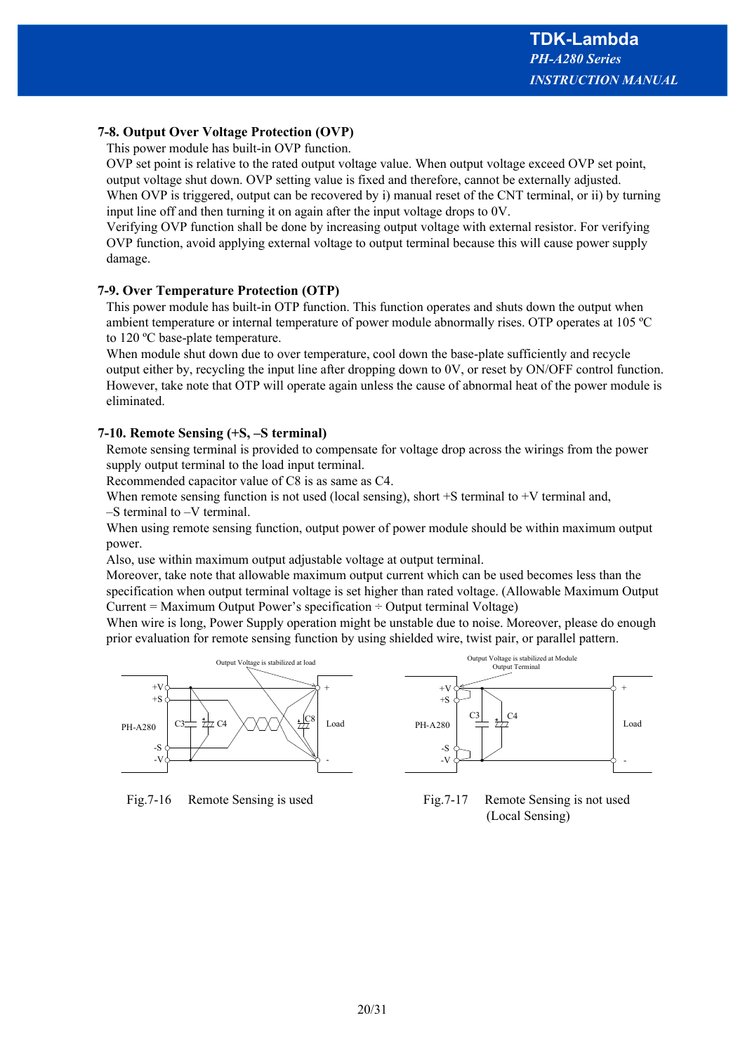# **7-8. Output Over Voltage Protection (OVP)**

This power module has built-in OVP function.

OVP set point is relative to the rated output voltage value. When output voltage exceed OVP set point, output voltage shut down. OVP setting value is fixed and therefore, cannot be externally adjusted. When OVP is triggered, output can be recovered by i) manual reset of the CNT terminal, or ii) by turning input line off and then turning it on again after the input voltage drops to 0V.

Verifying OVP function shall be done by increasing output voltage with external resistor. For verifying OVP function, avoid applying external voltage to output terminal because this will cause power supply damage.

# **7-9. Over Temperature Protection (OTP)**

This power module has built-in OTP function. This function operates and shuts down the output when ambient temperature or internal temperature of power module abnormally rises. OTP operates at 105 ºC to 120 ºC base-plate temperature.

When module shut down due to over temperature, cool down the base-plate sufficiently and recycle output either by, recycling the input line after dropping down to 0V, or reset by ON/OFF control function. However, take note that OTP will operate again unless the cause of abnormal heat of the power module is eliminated.

#### **7-10. Remote Sensing (+S, –S terminal)**

Remote sensing terminal is provided to compensate for voltage drop across the wirings from the power supply output terminal to the load input terminal.

Recommended capacitor value of C8 is as same as C4.

When remote sensing function is not used (local sensing), short  $+S$  terminal to  $+V$  terminal and, –S terminal to –V terminal.

When using remote sensing function, output power of power module should be within maximum output power.

Also, use within maximum output adjustable voltage at output terminal.

Moreover, take note that allowable maximum output current which can be used becomes less than the specification when output terminal voltage is set higher than rated voltage. (Allowable Maximum Output Current = Maximum Output Power's specification  $\div$  Output terminal Voltage)

When wire is long, Power Supply operation might be unstable due to noise. Moreover, please do enough prior evaluation for remote sensing function by using shielded wire, twist pair, or parallel pattern.

![](_page_19_Figure_16.jpeg)

![](_page_19_Figure_18.jpeg)

![](_page_19_Figure_19.jpeg)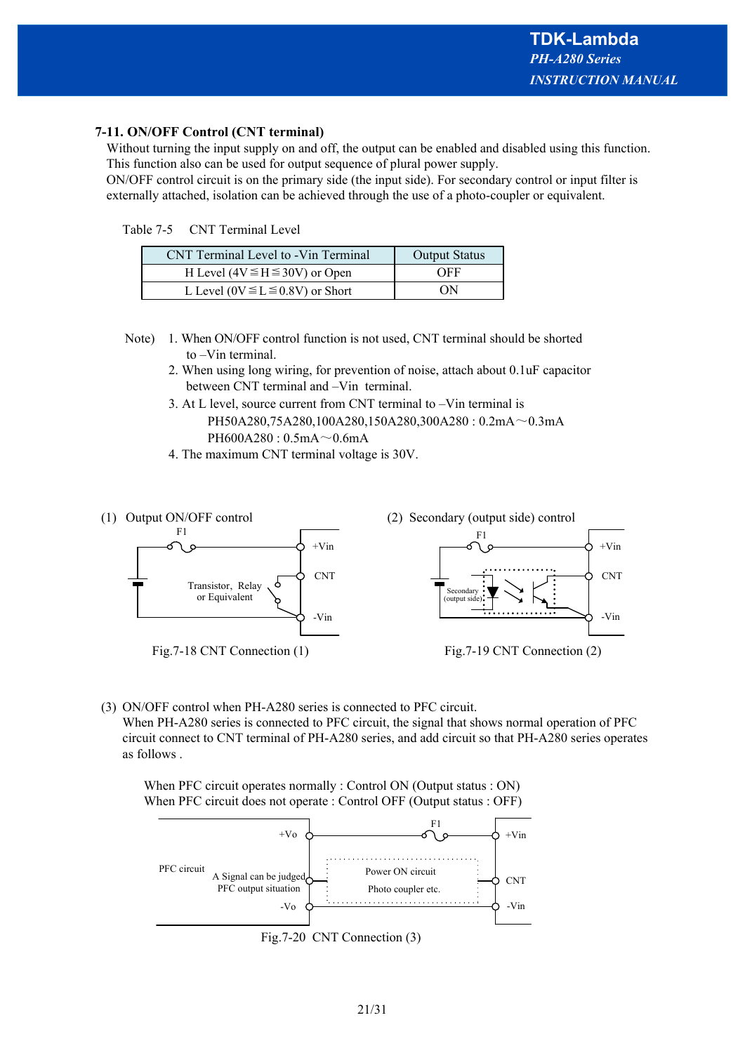# **7-11. ON/OFF Control (CNT terminal)**

Without turning the input supply on and off, the output can be enabled and disabled using this function. This function also can be used for output sequence of plural power supply.

ON/OFF control circuit is on the primary side (the input side). For secondary control or input filter is externally attached, isolation can be achieved through the use of a photo-coupler or equivalent.

| Table 7-5 | <b>CNT Terminal Level</b> |
|-----------|---------------------------|
|-----------|---------------------------|

| CNT Terminal Level to -Vin Terminal      | <b>Output Status</b> |
|------------------------------------------|----------------------|
| H Level ( $4V \leq H \leq 30V$ ) or Open | OFF                  |
| L Level ( $0V \le L \le 0.8V$ ) or Short | OΝ                   |

- Note) 1. When ON/OFF control function is not used, CNT terminal should be shorted to –Vin terminal.
	- 2. When using long wiring, for prevention of noise, attach about 0.1uF capacitor between CNT terminal and –Vin terminal.
	- 3. At L level, source current from CNT terminal to –Vin terminal is PH50A280,75A280,100A280,150A280,300A280 : 0.2mA~0.3mA PH600A280 :  $0.5mA \sim 0.6mA$
	- 4. The maximum CNT terminal voltage is 30V.

![](_page_20_Figure_10.jpeg)

(3) ON/OFF control when PH-A280 series is connected to PFC circuit. When PH-A280 series is connected to PFC circuit, the signal that shows normal operation of PFC circuit connect to CNT terminal of PH-A280 series, and add circuit so that PH-A280 series operates as follows .

When PFC circuit operates normally : Control ON (Output status : ON) When PFC circuit does not operate : Control OFF (Output status : OFF)

![](_page_20_Figure_13.jpeg)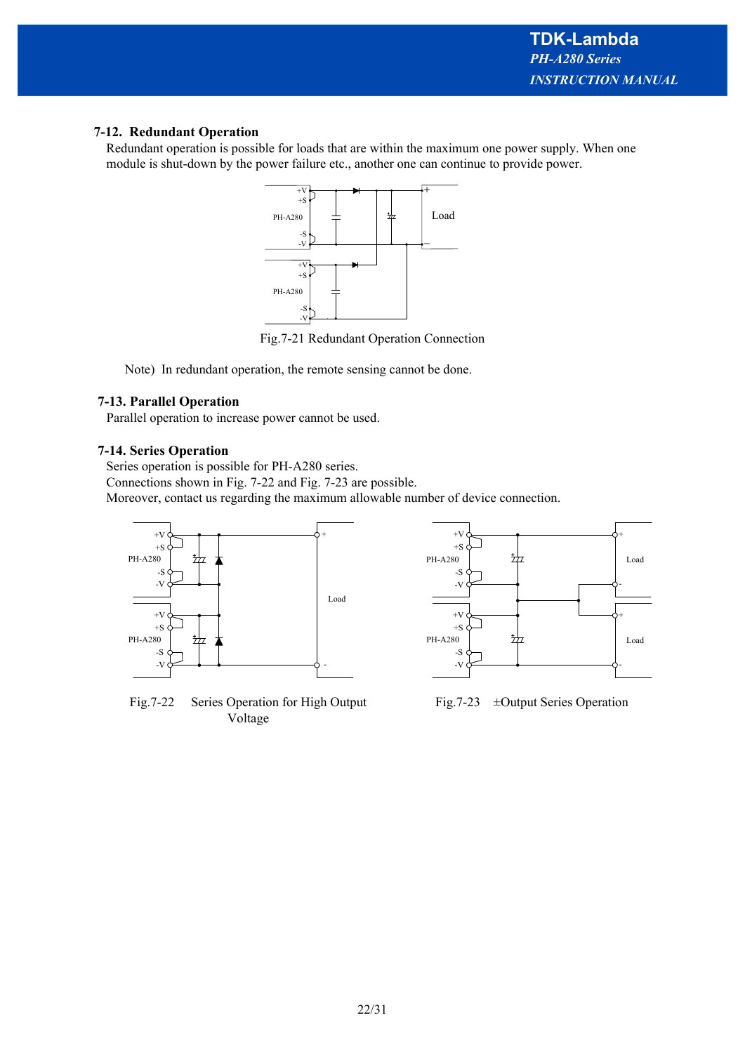# **7-12. Redundant Operation**

Redundant operation is possible for loads that are within the maximum one power supply. When one module is shut-down by the power failure etc., another one can continue to provide power.

![](_page_21_Figure_3.jpeg)

Fig.7-21 Redundant Operation Connection

Note) In redundant operation, the remote sensing cannot be done.

# **7-13. Parallel Operation**

Parallel operation to increase power cannot be used.

# **7-14. Series Operation**

Series operation is possible for PH-A280 series.

Connections shown in Fig. 7-22 and Fig. 7-23 are possible.

Moreover, contact us regarding the maximum allowable number of device connection.

![](_page_21_Figure_12.jpeg)

Fig.7-22 Series Operation for High Output Voltage

![](_page_21_Figure_14.jpeg)

Fig.7-23 ±Output Series Operation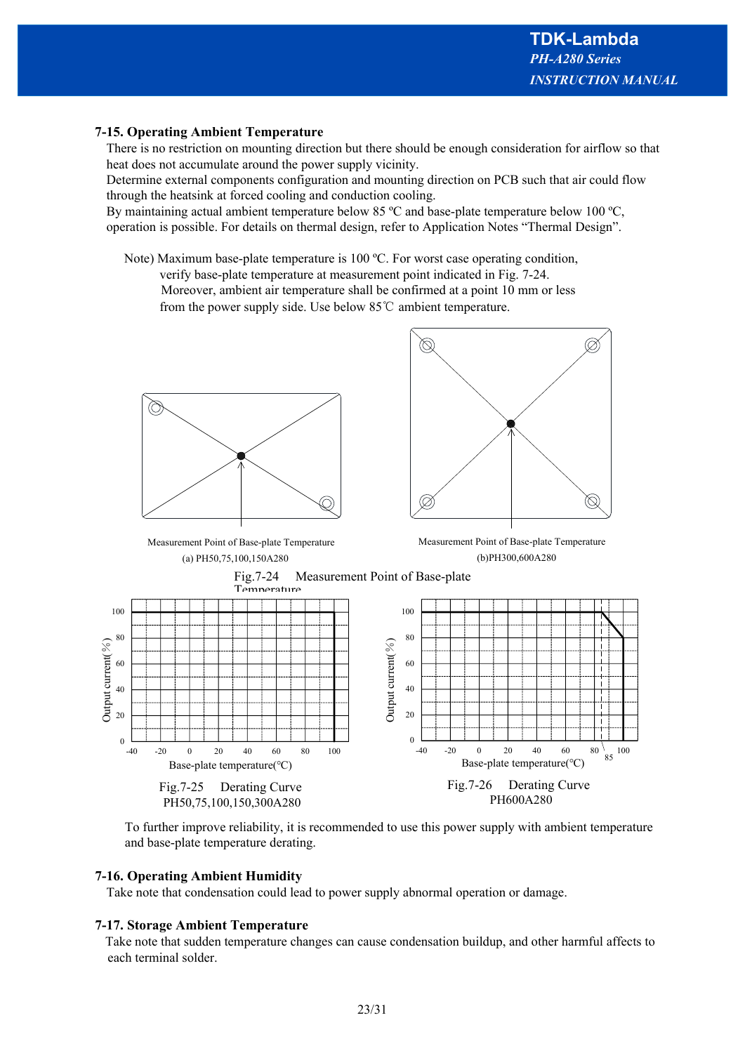# **7-15. Operating Ambient Temperature**

There is no restriction on mounting direction but there should be enough consideration for airflow so that heat does not accumulate around the power supply vicinity.

Determine external components configuration and mounting direction on PCB such that air could flow through the heatsink at forced cooling and conduction cooling.

By maintaining actual ambient temperature below 85 °C and base-plate temperature below 100 °C, operation is possible. For details on thermal design, refer to Application Notes "Thermal Design".

Note) Maximum base-plate temperature is 100 ºC. For worst case operating condition,

verify base-plate temperature at measurement point indicated in Fig. 7-24.

 Moreover, ambient air temperature shall be confirmed at a point 10 mm or less from the power supply side. Use below 85℃ ambient temperature.

![](_page_22_Figure_8.jpeg)

(a) PH50,75,100,150A280 Measurement Point of Base-plate Temperature

![](_page_22_Figure_10.jpeg)

(b)PH300,600A280 Measurement Point of Base-plate Temperature

![](_page_22_Figure_12.jpeg)

![](_page_22_Figure_13.jpeg)

To further improve reliability, it is recommended to use this power supply with ambient temperature and base-plate temperature derating.

# **7-16. Operating Ambient Humidity**

Take note that condensation could lead to power supply abnormal operation or damage.

#### **7-17. Storage Ambient Temperature**

Take note that sudden temperature changes can cause condensation buildup, and other harmful affects to each terminal solder.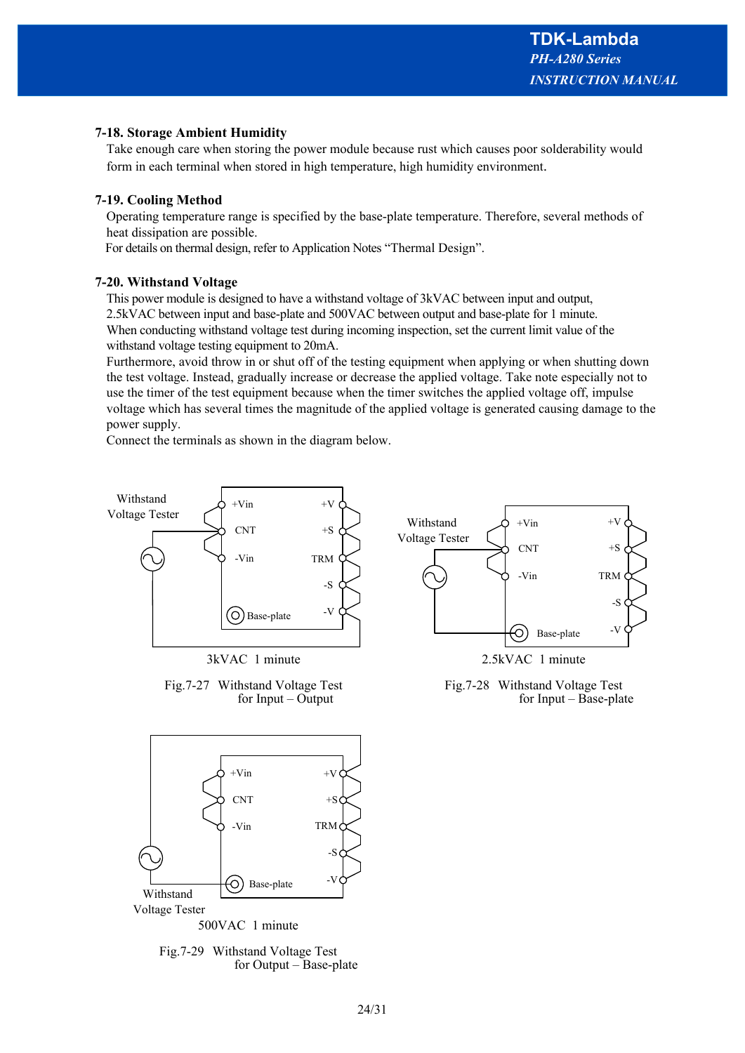TRM

-S

-V

 $+V$ 

 $+S$ 

Base-plate

# **7-18. Storage Ambient Humidity**

Take enough care when storing the power module because rust which causes poor solderability would form in each terminal when stored in high temperature, high humidity environment.

# **7-19. Cooling Method**

Operating temperature range is specified by the base-plate temperature. Therefore, several methods of heat dissipation are possible.

For details on thermal design, refer to Application Notes "Thermal Design".

# **7-20. Withstand Voltage**

This power module is designed to have a withstand voltage of 3kVAC between input and output, 2.5kVAC between input and base-plate and 500VAC between output and base-plate for 1 minute. When conducting withstand voltage test during incoming inspection, set the current limit value of the withstand voltage testing equipment to 20mA.

Furthermore, avoid throw in or shut off of the testing equipment when applying or when shutting down the test voltage. Instead, gradually increase or decrease the applied voltage. Take note especially not to use the timer of the test equipment because when the timer switches the applied voltage off, impulse voltage which has several times the magnitude of the applied voltage is generated causing damage to the power supply.

Connect the terminals as shown in the diagram below.

![](_page_23_Figure_10.jpeg)

500VAC 1 minute

![](_page_23_Figure_12.jpeg)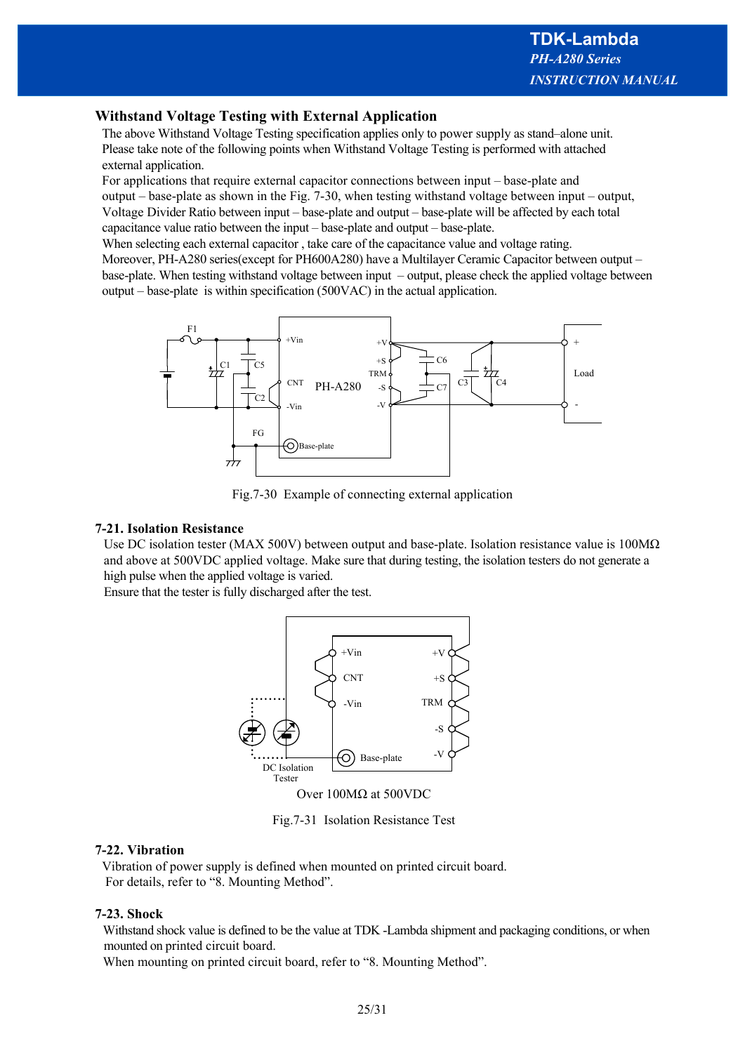# **Withstand Voltage Testing with External Application**

The above Withstand Voltage Testing specification applies only to power supply as stand–alone unit. Please take note of the following points when Withstand Voltage Testing is performed with attached external application.

For applications that require external capacitor connections between input – base-plate and output – base-plate as shown in the Fig. 7-30, when testing withstand voltage between input – output, Voltage Divider Ratio between input – base-plate and output – base-plate will be affected by each total capacitance value ratio between the input – base-plate and output – base-plate.

When selecting each external capacitor , take care of the capacitance value and voltage rating. Moreover, PH-A280 series(except for PH600A280) have a Multilayer Ceramic Capacitor between output – base-plate. When testing withstand voltage between input – output, please check the applied voltage between output – base-plate is within specification (500VAC) in the actual application.

![](_page_24_Figure_5.jpeg)

Fig.7-30 Example of connecting external application

#### **7-21. Isolation Resistance**

Use DC isolation tester (MAX 500V) between output and base-plate. Isolation resistance value is  $100M\Omega$ and above at 500VDC applied voltage. Make sure that during testing, the isolation testers do not generate a high pulse when the applied voltage is varied.

Ensure that the tester is fully discharged after the test.

![](_page_24_Figure_10.jpeg)

Fig.7-31 Isolation Resistance Test

# **7-22. Vibration**

Vibration of power supply is defined when mounted on printed circuit board. For details, refer to "8. Mounting Method".

# **7-23. Shock**

Withstand shock value is defined to be the value at TDK -Lambda shipment and packaging conditions, or when mounted on printed circuit board.

When mounting on printed circuit board, refer to "8. Mounting Method".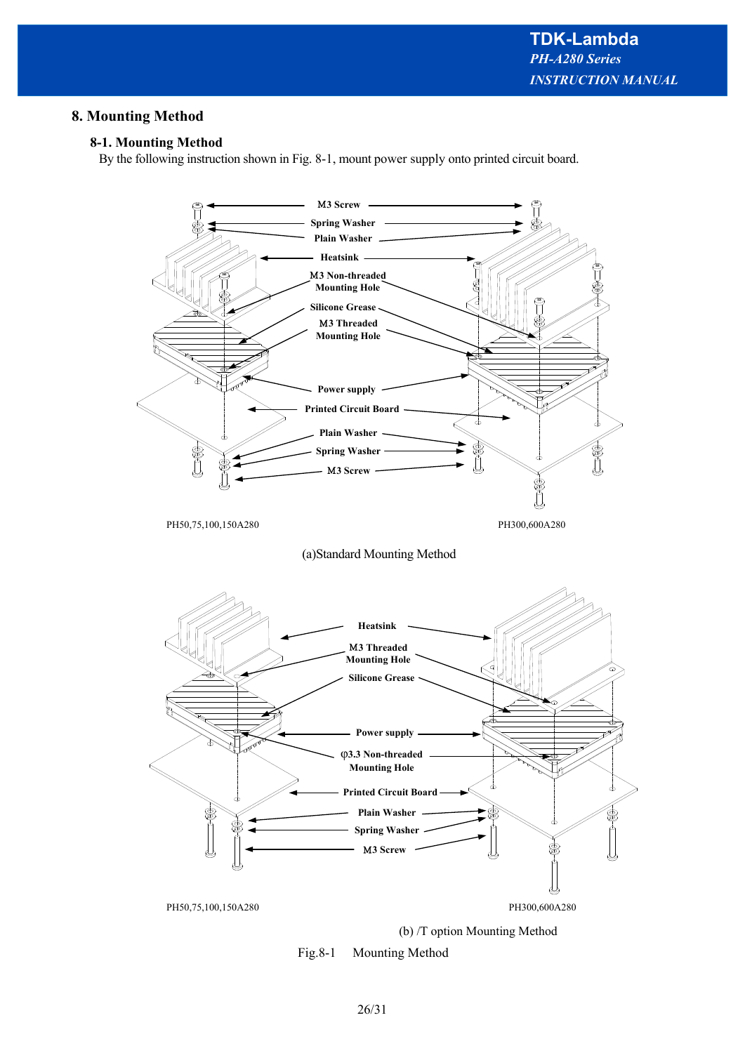# **8. Mounting Method**

# **8-1. Mounting Method**

By the following instruction shown in Fig. 8-1, mount power supply onto printed circuit board.

![](_page_25_Figure_4.jpeg)

(b) /T option Mounting Method

![](_page_25_Figure_6.jpeg)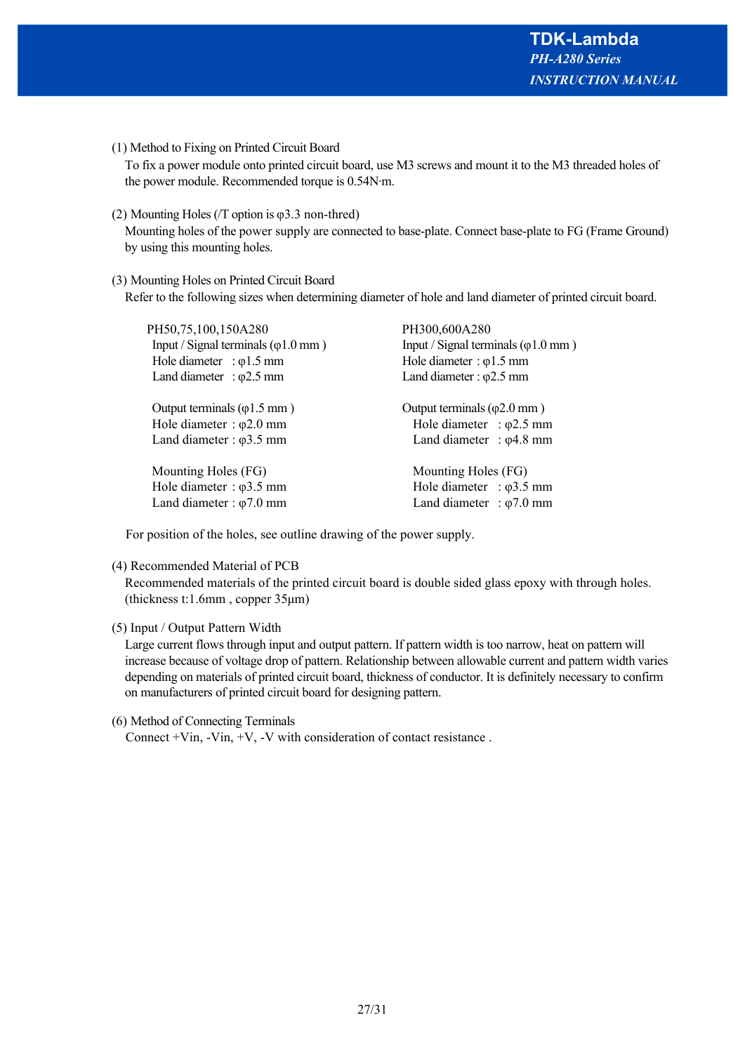(1) Method to Fixing on Printed Circuit Board

 To fix a power module onto printed circuit board, use M3 screws and mount it to the M3 threaded holes of the power module. Recommended torque is 0.54N∙m.

(2) Mounting Holes (/T option is φ3.3 non-thred)

 Mounting holes of the power supply are connected to base-plate. Connect base-plate to FG (Frame Ground) by using this mounting holes.

# (3) Mounting Holes on Printed Circuit Board

Refer to the following sizes when determining diameter of hole and land diameter of printed circuit board.

| PH50,75,100,150A280                                 | PH300,600A280                                |  |  |
|-----------------------------------------------------|----------------------------------------------|--|--|
| Input / Signal terminals $(\varphi 1.0 \text{ mm})$ | Input / Signal terminals ( $\varphi$ 1.0 mm) |  |  |
| Hole diameter : $\varphi$ 1.5 mm                    | Hole diameter : $\varphi$ 1.5 mm             |  |  |
| Land diameter : $\varphi$ 2.5 mm                    | Land diameter : $\varphi$ 2.5 mm             |  |  |
| Output terminals $(\varphi 1.5 \text{ mm})$         | Output terminals $(\varphi 2.0 \text{ mm})$  |  |  |
| Hole diameter : $\varphi$ 2.0 mm                    | Hole diameter : $\varphi$ 2.5 mm             |  |  |
| Land diameter : $\varphi$ 3.5 mm                    | Land diameter : $\varphi$ 4.8 mm             |  |  |
| Mounting Holes (FG)                                 | Mounting Holes (FG)                          |  |  |
| Hole diameter : $\varphi$ 3.5 mm                    | Hole diameter : $\varphi$ 3.5 mm             |  |  |
| Land diameter : $\varphi$ 7.0 mm                    | Land diameter : $\varphi$ 7.0 mm             |  |  |
|                                                     |                                              |  |  |

For position of the holes, see outline drawing of the power supply.

#### (4) Recommended Material of PCB

 Recommended materials of the printed circuit board is double sided glass epoxy with through holes. (thickness t:1.6mm , copper 35μm)

# (5) Input / Output Pattern Width

 Large current flows through input and output pattern. If pattern width is too narrow, heat on pattern will increase because of voltage drop of pattern. Relationship between allowable current and pattern width varies depending on materials of printed circuit board, thickness of conductor. It is definitely necessary to confirm on manufacturers of printed circuit board for designing pattern.

# (6) Method of Connecting Terminals

Connect  $+V$ in,  $-V$ in,  $+V$ ,  $-V$  with consideration of contact resistance.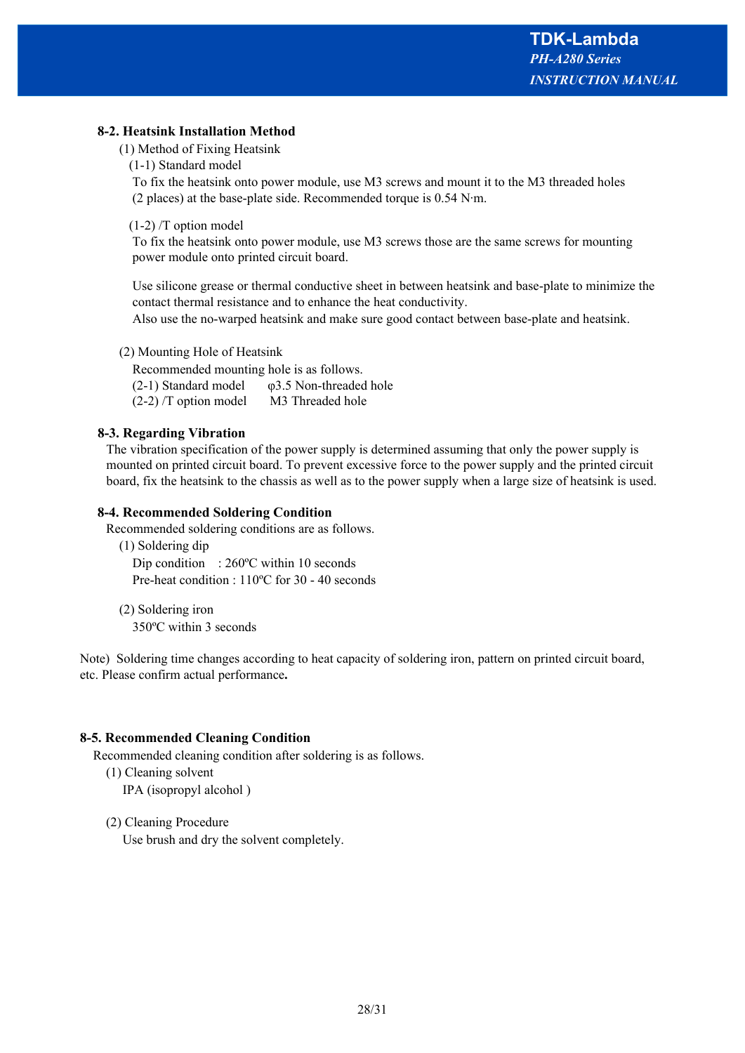# **8-2. Heatsink Installation Method**

- (1) Method of Fixing Heatsink
	- (1-1) Standard model

 To fix the heatsink onto power module, use M3 screws and mount it to the M3 threaded holes (2 places) at the base-plate side. Recommended torque is 0.54 N∙m.

(1-2) /T option model

 To fix the heatsink onto power module, use M3 screws those are the same screws for mounting power module onto printed circuit board.

 Use silicone grease or thermal conductive sheet in between heatsink and base-plate to minimize the contact thermal resistance and to enhance the heat conductivity.

Also use the no-warped heatsink and make sure good contact between base-plate and heatsink.

(2) Mounting Hole of Heatsink

 Recommended mounting hole is as follows. (2-1) Standard model  $\qquad \varphi$ 3.5 Non-threaded hole (2-2) /T option model M3 Threaded hole

# **8-3. Regarding Vibration**

The vibration specification of the power supply is determined assuming that only the power supply is mounted on printed circuit board. To prevent excessive force to the power supply and the printed circuit board, fix the heatsink to the chassis as well as to the power supply when a large size of heatsink is used.

# **8-4. Recommended Soldering Condition**

Recommended soldering conditions are as follows.

 (1) Soldering dip Dip condition : 260°C within 10 seconds Pre-heat condition : 110ºC for 30 - 40 seconds

 (2) Soldering iron 350ºC within 3 seconds

Note) Soldering time changes according to heat capacity of soldering iron, pattern on printed circuit board, etc. Please confirm actual performance**.**

# **8-5. Recommended Cleaning Condition**

Recommended cleaning condition after soldering is as follows.

(1) Cleaning solvent

IPA (isopropyl alcohol )

(2) Cleaning Procedure

Use brush and dry the solvent completely.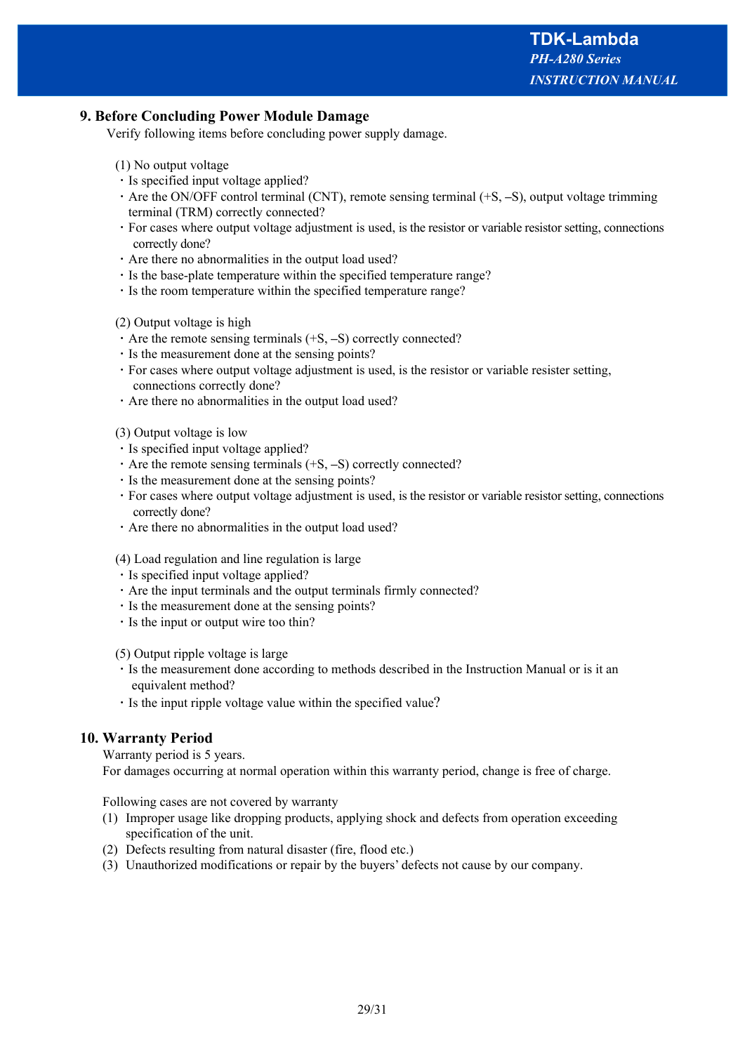# **9. Before Concluding Power Module Damage**

Verify following items before concluding power supply damage.

#### (1) No output voltage

- ・Is specified input voltage applied?
- ・Are the ON/OFF control terminal (CNT), remote sensing terminal (+S, **–**S), output voltage trimming terminal (TRM) correctly connected?
- ・For cases where output voltage adjustment is used, is the resistor or variable resistor setting, connections correctly done?
- ・Are there no abnormalities in the output load used?
- ・Is the base-plate temperature within the specified temperature range?
- ・Is the room temperature within the specified temperature range?

#### (2) Output voltage is high

- ・Are the remote sensing terminals (+S, **–**S) correctly connected?
- ・Is the measurement done at the sensing points?
- ・For cases where output voltage adjustment is used, is the resistor or variable resister setting, connections correctly done?
- ・Are there no abnormalities in the output load used?

(3) Output voltage is low

- ・Is specified input voltage applied?
- ・Are the remote sensing terminals (+S, **–**S) correctly connected?
- ・Is the measurement done at the sensing points?
- ・For cases where output voltage adjustment is used, is the resistor or variable resistor setting, connections correctly done?
- ・Are there no abnormalities in the output load used?

#### (4) Load regulation and line regulation is large

- ・Is specified input voltage applied?
- ・Are the input terminals and the output terminals firmly connected?
- ・Is the measurement done at the sensing points?
- ・Is the input or output wire too thin?

(5) Output ripple voltage is large

- ・Is the measurement done according to methods described in the Instruction Manual or is it an equivalent method?
- ・Is the input ripple voltage value within the specified value?

# **10. Warranty Period**

Warranty period is 5 years.

For damages occurring at normal operation within this warranty period, change is free of charge.

Following cases are not covered by warranty

- (1) Improper usage like dropping products, applying shock and defects from operation exceeding specification of the unit.
- (2) Defects resulting from natural disaster (fire, flood etc.)
- (3) Unauthorized modifications or repair by the buyers' defects not cause by our company.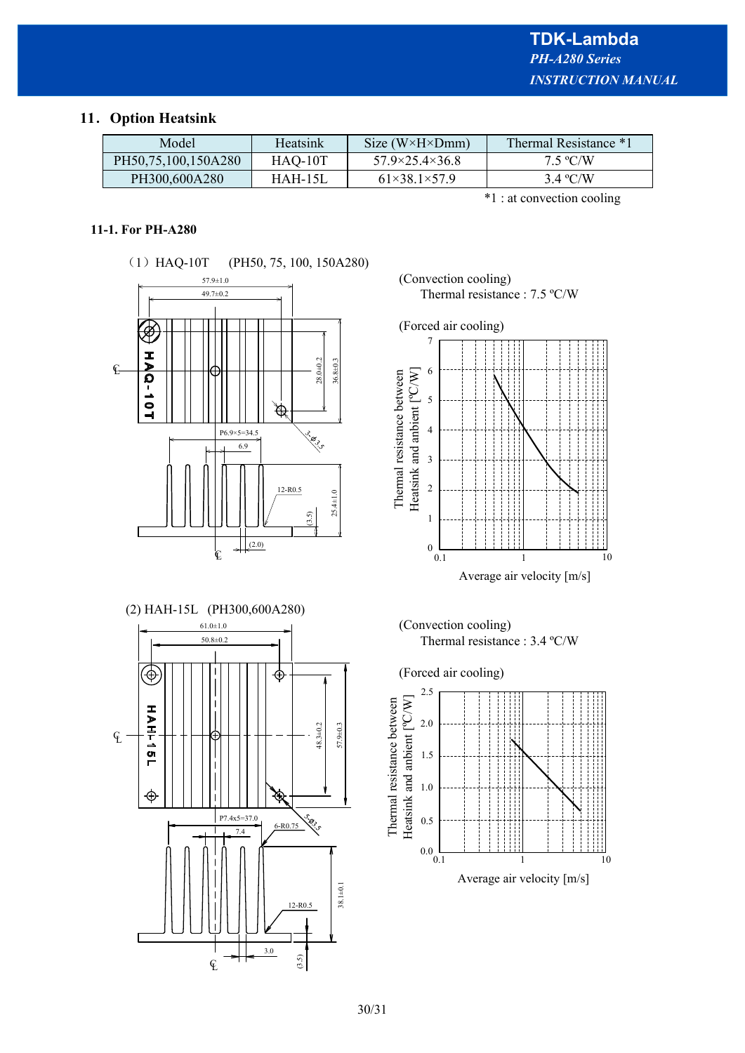# **11**.**Option Heatsink**

| Model               | Heatsink  | Size ( $W \times H \times Dmm$ ) | Thermal Resistance *1 |
|---------------------|-----------|----------------------------------|-----------------------|
| PH50,75,100,150A280 | HAQ-10T   | $57.9 \times 25.4 \times 36.8$   | $7.5 \text{ °C/W}$    |
| PH300,600A280       | $HAH-15L$ | $61\times38.1\times57.9$         | $3.4 \text{ °C/W}$    |

\*1 : at convection cooling

# **11-1. For PH-A280**

![](_page_29_Figure_5.jpeg)

![](_page_29_Figure_6.jpeg)

(Convection cooling) Thermal resistance : 7.5 ºC/W

![](_page_29_Figure_8.jpeg)

(Convection cooling) Thermal resistance : 3.4 ºC/W

![](_page_29_Figure_10.jpeg)

![](_page_29_Figure_11.jpeg)

![](_page_29_Figure_12.jpeg)